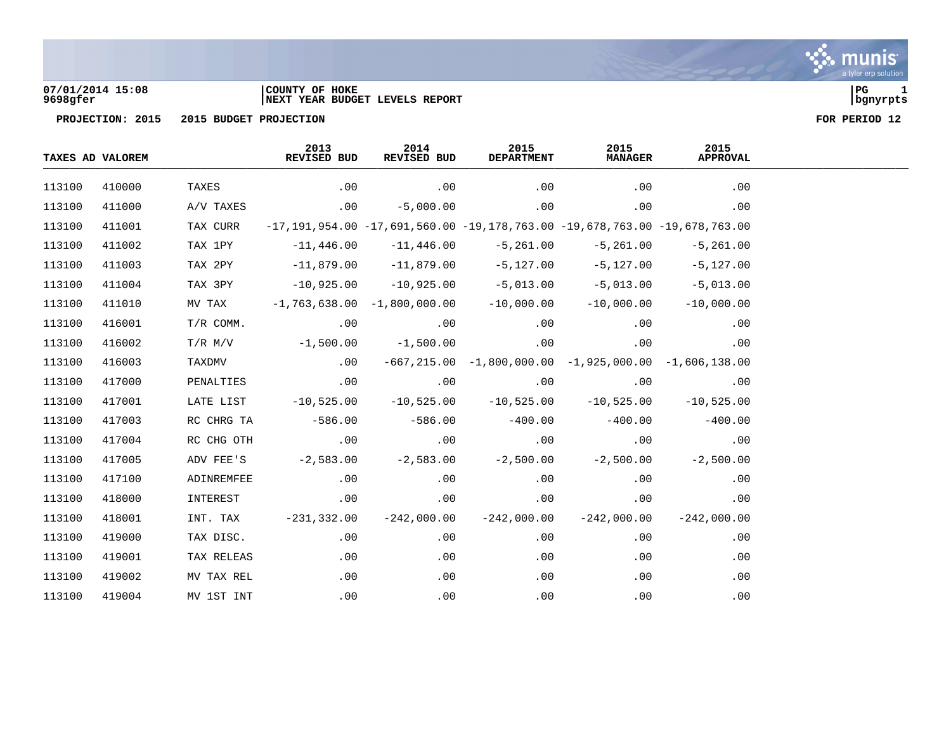

### **07/01/2014 15:08 |COUNTY OF HOKE |PG 1 9698gfer |NEXT YEAR BUDGET LEVELS REPORT |bgnyrpts**

|        | TAXES AD VALOREM |             | 2013<br>REVISED BUD | 2014<br>REVISED BUD               | 2015<br><b>DEPARTMENT</b>                                                              | 2015<br><b>MANAGER</b> | 2015<br><b>APPROVAL</b> |
|--------|------------------|-------------|---------------------|-----------------------------------|----------------------------------------------------------------------------------------|------------------------|-------------------------|
| 113100 | 410000           | TAXES       | .00                 | .00                               | .00                                                                                    | .00                    | .00                     |
| 113100 | 411000           | A/V TAXES   | .00                 | $-5,000.00$                       | .00                                                                                    | .00                    | .00                     |
| 113100 | 411001           | TAX CURR    |                     |                                   | $-17, 191, 954.00 -17, 691, 560.00 -19, 178, 763.00 -19, 678, 763.00 -19, 678, 763.00$ |                        |                         |
| 113100 | 411002           | TAX 1PY     | $-11,446.00$        | $-11,446.00$                      | -5,261.00                                                                              | $-5,261.00$            | $-5,261.00$             |
| 113100 | 411003           | TAX 2PY     | $-11,879.00$        | $-11,879.00$                      | $-5,127.00$                                                                            | $-5,127.00$            | $-5,127.00$             |
| 113100 | 411004           | TAX 3PY     | $-10,925.00$        | $-10,925.00$                      | $-5,013.00$                                                                            | $-5,013.00$            | $-5,013.00$             |
| 113100 | 411010           | MV TAX      |                     | $-1, 763, 638.00 -1, 800, 000.00$ | $-10,000.00$                                                                           | $-10,000.00$           | $-10,000.00$            |
| 113100 | 416001           | $T/R$ COMM. | .00                 | .00                               | .00                                                                                    | .00                    | .00                     |
| 113100 | 416002           | $T/R$ M/V   | $-1,500.00$         | $-1,500.00$                       | .00                                                                                    | .00                    | .00                     |
| 113100 | 416003           | TAXDMV      | .00                 |                                   | $-667, 215.00 -1, 800, 000.00 -1, 925, 000.00 -1, 606, 138.00$                         |                        |                         |
| 113100 | 417000           | PENALTIES   | .00                 | .00                               | .00                                                                                    | .00                    | .00                     |
| 113100 | 417001           | LATE LIST   | $-10,525.00$        | $-10,525.00$                      | $-10,525.00$                                                                           | $-10,525.00$           | $-10,525.00$            |
| 113100 | 417003           | RC CHRG TA  | $-586.00$           | $-586.00$                         | $-400.00$                                                                              | $-400.00$              | $-400.00$               |
| 113100 | 417004           | RC CHG OTH  | .00                 | .00                               | .00                                                                                    | .00                    | .00                     |
| 113100 | 417005           | ADV FEE'S   | $-2,583.00$         | $-2,583.00$                       | $-2,500.00$                                                                            | $-2,500.00$            | $-2,500.00$             |
| 113100 | 417100           | ADINREMFEE  | .00                 | .00                               | .00                                                                                    | .00                    | .00                     |
| 113100 | 418000           | INTEREST    | .00                 | .00                               | .00                                                                                    | .00                    | .00                     |
| 113100 | 418001           | INT. TAX    | $-231,332.00$       | $-242,000.00$                     | $-242,000.00$                                                                          | $-242,000.00$          | $-242,000.00$           |
| 113100 | 419000           | TAX DISC.   | .00                 | .00                               | .00                                                                                    | .00                    | .00                     |
| 113100 | 419001           | TAX RELEAS  | .00                 | .00                               | .00                                                                                    | .00                    | .00                     |
| 113100 | 419002           | MV TAX REL  | .00                 | .00                               | .00                                                                                    | .00                    | .00                     |
| 113100 | 419004           | MV 1ST INT  | .00                 | .00                               | .00                                                                                    | .00                    | .00                     |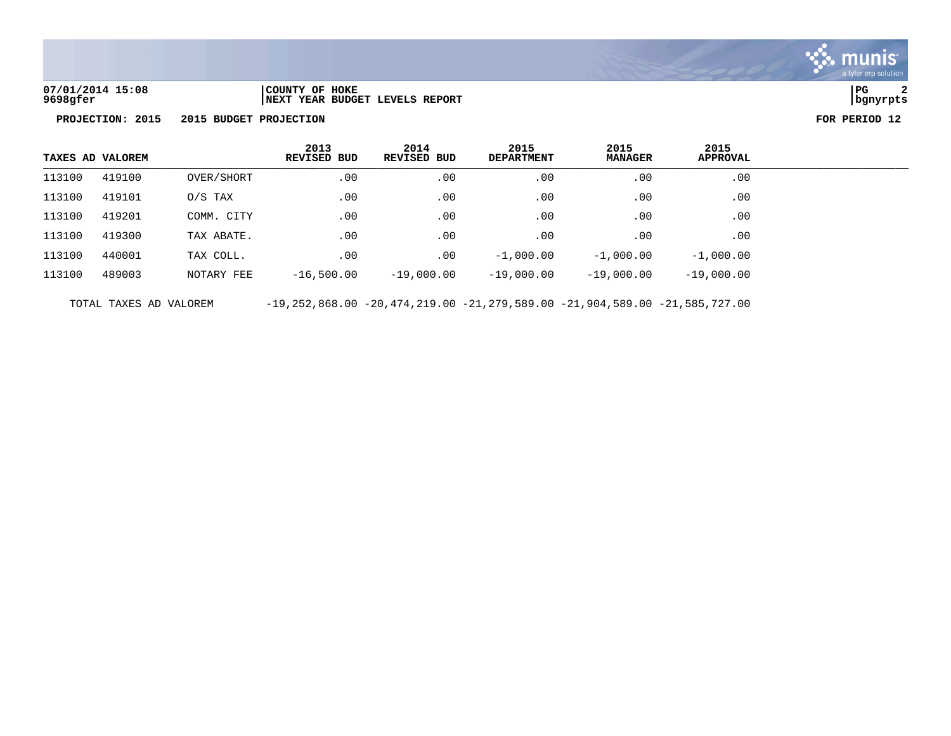

**07/01/2014 15:08 |COUNTY OF HOKE |PG 2 9698gfer |NEXT YEAR BUDGET LEVELS REPORT |bgnyrpts**

**PROJECTION: 2015 2015 BUDGET PROJECTION FOR PERIOD 12**

|        | TAXES AD VALOREM |            | 2013<br><b>REVISED BUD</b> | 2014<br><b>REVISED BUD</b> | 2015<br><b>DEPARTMENT</b> | 2015<br><b>MANAGER</b> | 2015<br><b>APPROVAL</b> |
|--------|------------------|------------|----------------------------|----------------------------|---------------------------|------------------------|-------------------------|
| 113100 | 419100           | OVER/SHORT | .00                        | .00                        | .00                       | .00                    | .00                     |
| 113100 | 419101           | $0/S$ TAX  | .00                        | .00                        | .00                       | .00                    | .00                     |
| 113100 | 419201           | COMM. CITY | .00                        | .00                        | $.00 \,$                  | .00                    | .00                     |
| 113100 | 419300           | TAX ABATE. | .00                        | .00                        | .00                       | .00                    | .00                     |
| 113100 | 440001           | TAX COLL.  | .00                        | .00                        | $-1,000.00$               | $-1,000.00$            | $-1,000.00$             |
| 113100 | 489003           | NOTARY FEE | $-16,500.00$               | $-19,000.00$               | $-19,000.00$              | $-19,000.00$           | $-19,000.00$            |
|        |                  |            |                            |                            |                           |                        |                         |

TOTAL TAXES AD VALOREM -19,252,868.00 -20,474,219.00 -21,279,589.00 -21,904,589.00 -21,585,727.00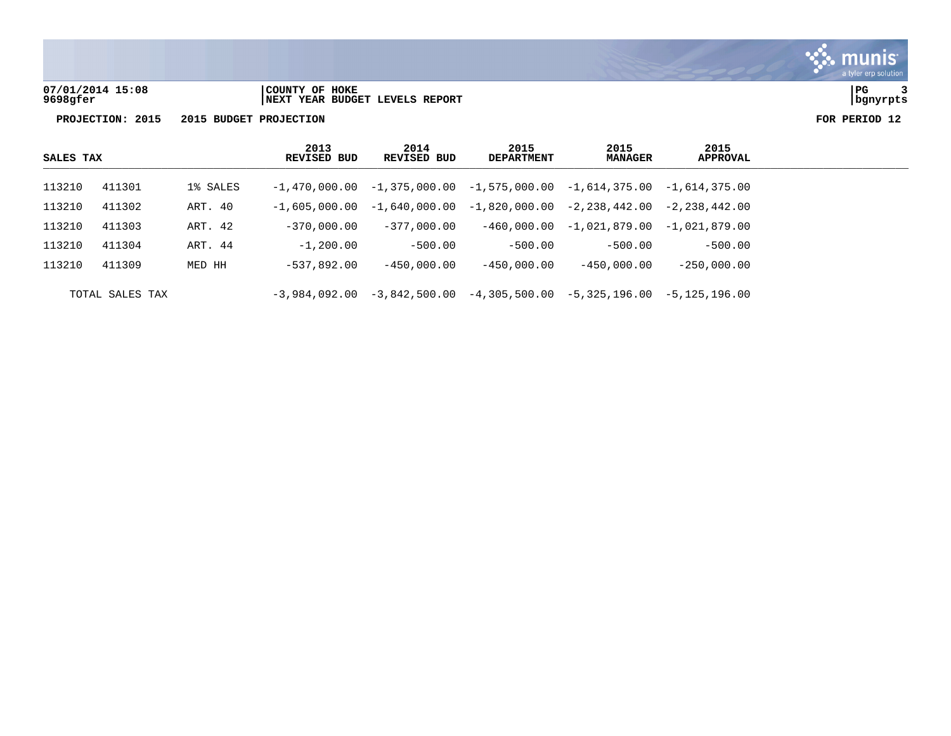

**07/01/2014 15:08 |COUNTY OF HOKE |PG 3 9698gfer |NEXT YEAR BUDGET LEVELS REPORT |bgnyrpts**

| SALES TAX |                 |          | 2013<br><b>REVISED BUD</b> | 2014<br>REVISED BUD | 2015<br><b>DEPARTMENT</b>                                                       | 2015<br><b>MANAGER</b>       | 2015<br>APPROVAL |  |
|-----------|-----------------|----------|----------------------------|---------------------|---------------------------------------------------------------------------------|------------------------------|------------------|--|
| 113210    | 411301          | 1% SALES |                            |                     | $-1,470,000.00$ $-1,375,000.00$ $-1,575,000.00$ $-1,614,375.00$ $-1,614,375.00$ |                              |                  |  |
| 113210    | 411302          | ART. 40  |                            |                     | $-1,605,000.00$ $-1,640,000.00$ $-1,820,000.00$ $-2,238,442.00$                 |                              | -2,238,442.00    |  |
| 113210    | 411303          | ART. 42  | $-370,000.00$              | $-377.000.00$       |                                                                                 | $-460,000.00 - 1,021,879.00$ | -1,021,879.00    |  |
| 113210    | 411304          | ART. 44  | $-1,200.00$                | $-500.00$           | $-500.00$                                                                       | $-500.00$                    | $-500.00$        |  |
| 113210    | 411309          | MED HH   | $-537.892.00$              | $-450.000.00$       | $-450.000.00$                                                                   | $-450.000.00$                | $-250.000.00$    |  |
|           | TOTAL SALES TAX |          |                            |                     | $-3,984,092.00$ $-3,842,500.00$ $-4,305,500.00$ $-5,325,196.00$                 |                              | -5,125,196.00    |  |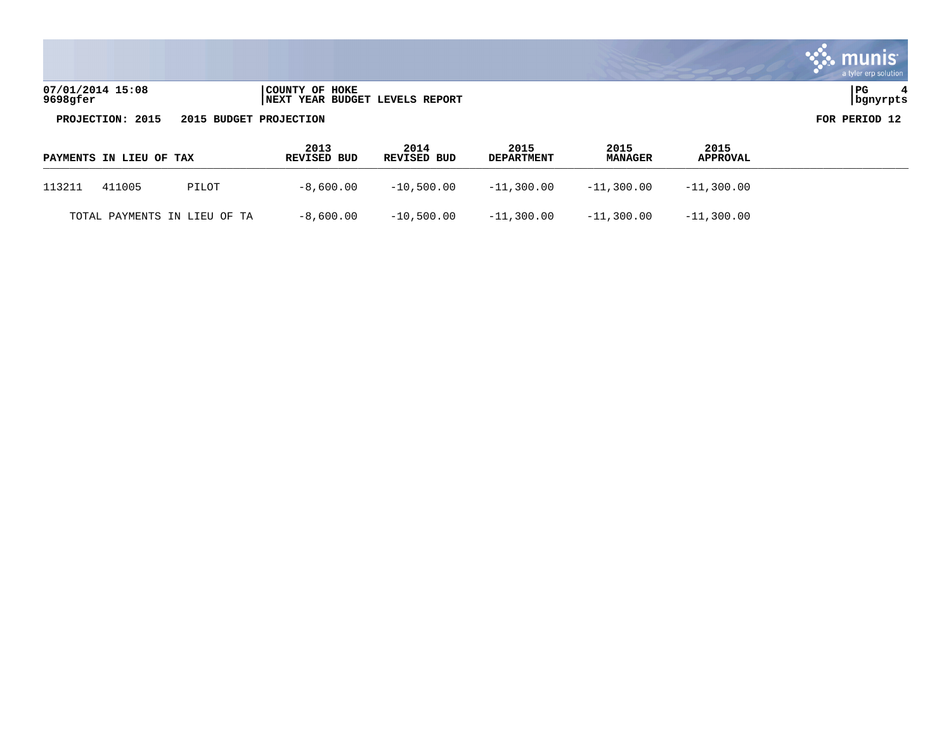|                              |                                                  | a tyler erp solution |
|------------------------------|--------------------------------------------------|----------------------|
| 07/01/2014 15:08<br>9698gfer | COUNTY OF HOKE<br>NEXT YEAR BUDGET LEVELS REPORT | PG<br>  bgnyrpts     |
| PROJECTION: 2015             | 2015 BUDGET PROJECTION                           | FOR PERIOD 12        |

 $\mathcal{L}^{\text{max}}$ 

| PAYMENTS IN LIEU OF TAX      |       | 2013<br><b>REVISED BUD</b> | 2014<br>REVISED BUD | 2015<br><b>DEPARTMENT</b> | 2015<br><b>MANAGER</b> | 2015<br><b>APPROVAL</b> |
|------------------------------|-------|----------------------------|---------------------|---------------------------|------------------------|-------------------------|
| 113211<br>411005             | PILOT | -8,600.00                  | $-10.500.00$        | $-11.300.00$              | $-11.300.00$           | $-11,300.00$            |
| TOTAL PAYMENTS IN LIEU OF TA |       | $-8$ ,600.00               | $-10.500.00$        | $-11,300.00$              | $-11.300.00$           | $-11,300.00$            |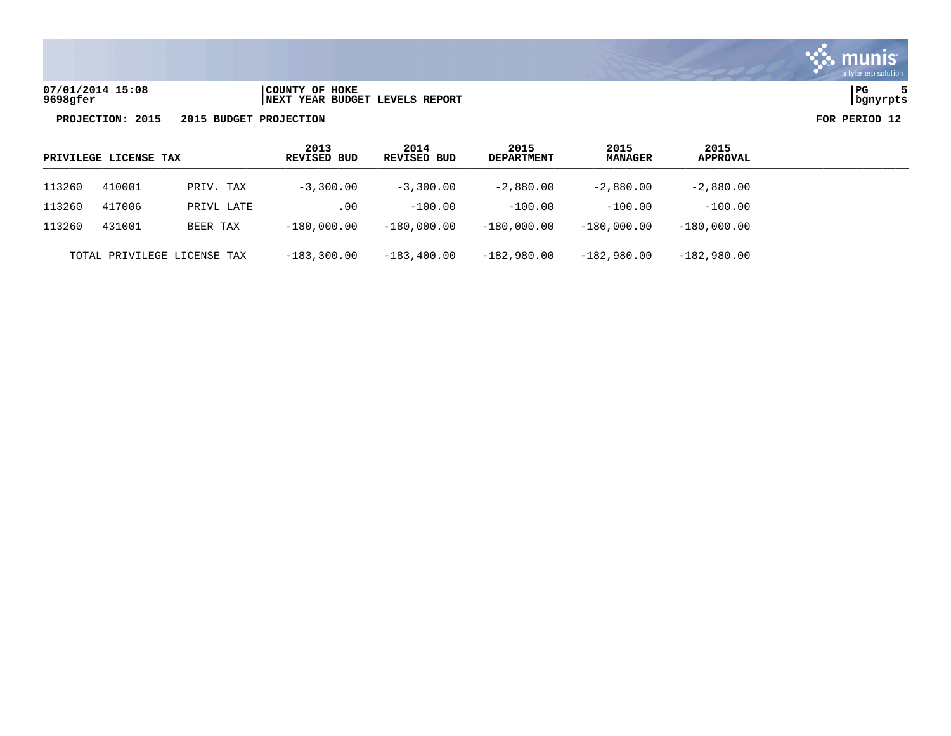

| 07/01/2014 15:08 | COUNTY OF HOKE                  | PG       |
|------------------|---------------------------------|----------|
| 9698gfer         | INEXT YEAR BUDGET LEVELS REPORT | banvrpts |

|        | PRIVILEGE LICENSE TAX |                             | 2013<br>REVISED BUD | 2014<br>REVISED BUD | 2015<br><b>DEPARTMENT</b> | 2015<br><b>MANAGER</b> | 2015<br><b>APPROVAL</b> |  |
|--------|-----------------------|-----------------------------|---------------------|---------------------|---------------------------|------------------------|-------------------------|--|
| 113260 | 410001                | PRIV. TAX                   | $-3,300,00$         | $-3,300,00$         | $-2,880.00$               | $-2,880.00$            | $-2,880.00$             |  |
| 113260 | 417006                | PRIVL LATE                  | .00                 | $-100.00$           | $-100.00$                 | $-100.00$              | $-100.00$               |  |
| 113260 | 431001                | BEER TAX                    | $-180,000.00$       | $-180.000.00$       | $-180.000.00$             | $-180.000.00$          | $-180,000.00$           |  |
|        |                       | TOTAL PRIVILEGE LICENSE TAX | $-183,300.00$       | $-183, 400.00$      | $-182,980.00$             | $-182,980.00$          | $-182,980.00$           |  |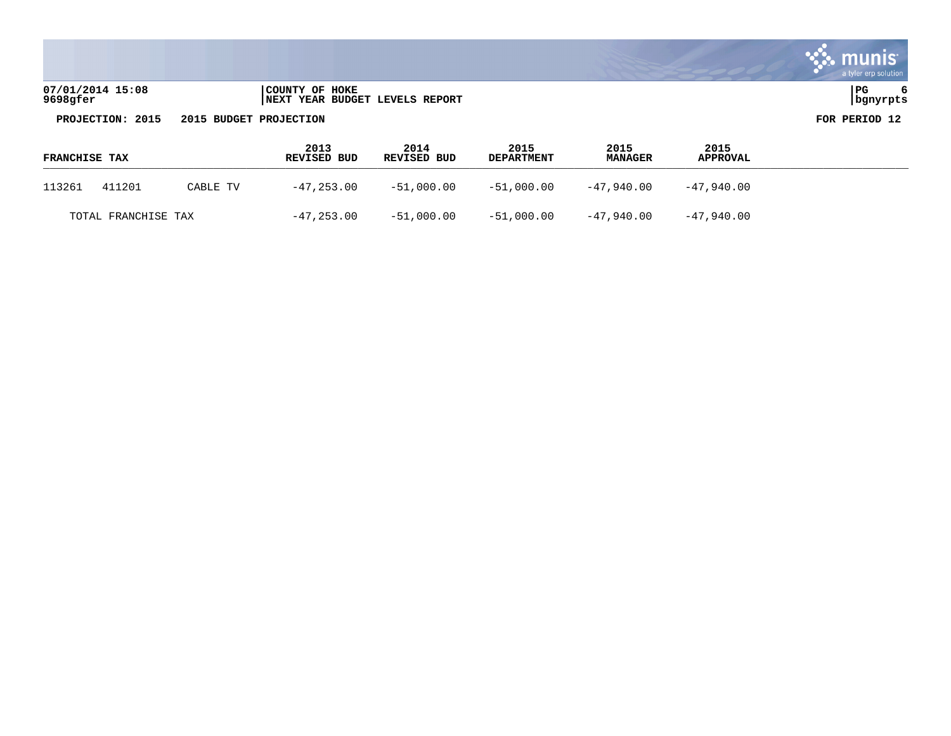|                              |                                                  | a tyler erp solution |
|------------------------------|--------------------------------------------------|----------------------|
| 07/01/2014 15:08<br>9698gfer | COUNTY OF HOKE<br>NEXT YEAR BUDGET LEVELS REPORT | PG<br>  bgnyrpts     |
| PROJECTION: 2015             | 2015 BUDGET PROJECTION                           | FOR PERIOD 12        |

 $\mathcal{L}^{\text{max}}$ 

| <b>FRANCHISE TAX</b> |                     |          | 2013<br>REVISED BUD | 2014<br>REVISED BUD | 2015<br><b>DEPARTMENT</b> | 2015<br><b>MANAGER</b> | 2015<br><b>APPROVAL</b> |  |
|----------------------|---------------------|----------|---------------------|---------------------|---------------------------|------------------------|-------------------------|--|
| 113261               | 411201              | CABLE TV | -47,253.00          | -51,000.00          | -51,000.00                | -47,940.00             | -47.940.00              |  |
|                      | TOTAL FRANCHISE TAX |          | $-47,253.00$        | -51,000.00          | -51,000.00                | -47,940.00             | -47,940.00              |  |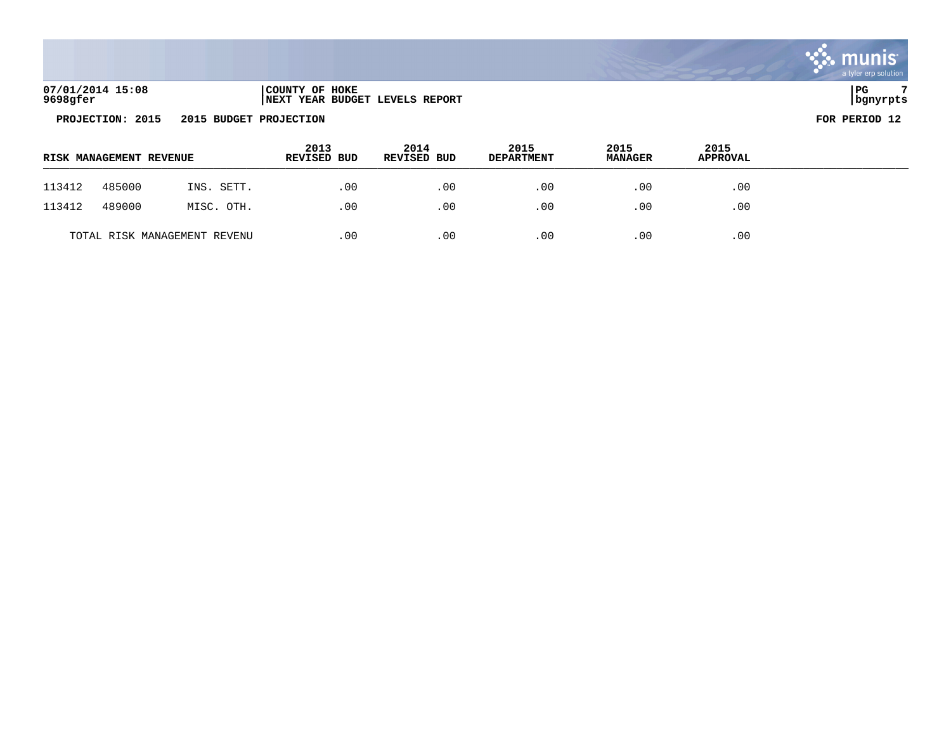| 07/01/2014 15:08 | COUNTY OF HOKE                       | PC       |
|------------------|--------------------------------------|----------|
| 9698gfer         | 'YEAR BUDGET LEVELS REPORT<br>  NEXT | banvrpts |

|        | <b>RISK MANAGEMENT REVENUE</b> |                              | 2013<br><b>REVISED BUD</b> | 2014<br><b>REVISED BUD</b> | 2015<br><b>DEPARTMENT</b> | 2015<br><b>MANAGER</b> | 2015<br><b>APPROVAL</b> |  |
|--------|--------------------------------|------------------------------|----------------------------|----------------------------|---------------------------|------------------------|-------------------------|--|
| 113412 | 485000                         | INS. SETT.                   | .00                        | .00                        | .00                       | .00                    | .00                     |  |
| 113412 | 489000                         | MISC. OTH.                   | .00                        | .00                        | .00                       | .00                    | .00                     |  |
|        |                                | TOTAL RISK MANAGEMENT REVENU | .00                        | .00                        | .00                       | .00                    | .00                     |  |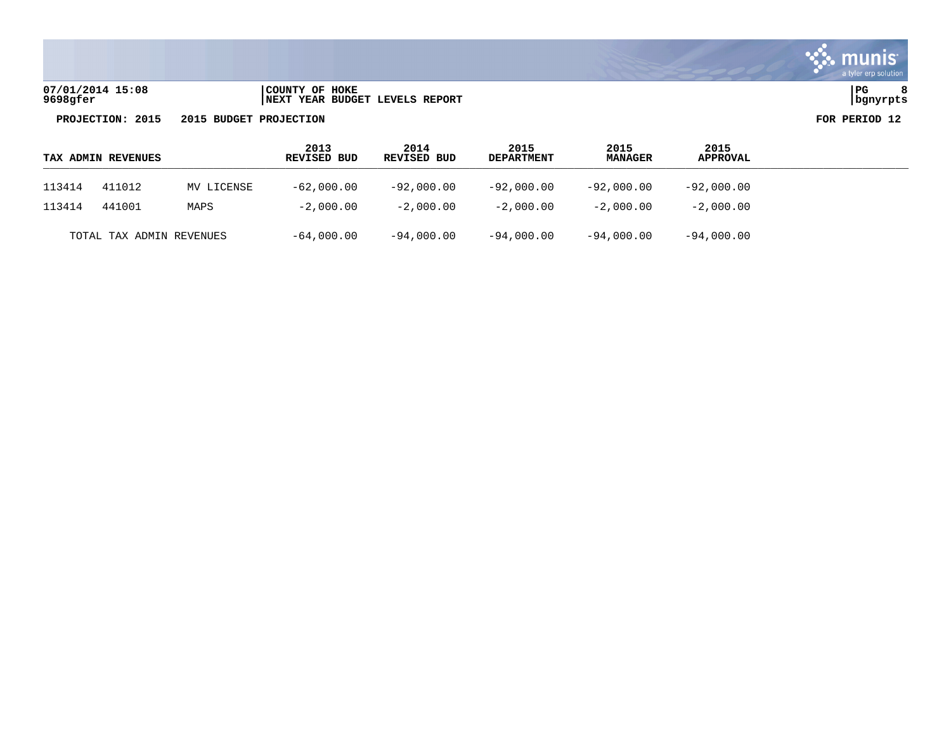

**07/01/2014 15:08 |COUNTY OF HOKE |PG 8 9698gfer |NEXT YEAR BUDGET LEVELS REPORT |bgnyrpts**

| TAX ADMIN REVENUES |                          |      | 2013<br>REVISED BUD | 2014<br>REVISED BUD | 2015<br><b>DEPARTMENT</b> | 2015<br><b>MANAGER</b> | 2015<br>APPROVAL |  |
|--------------------|--------------------------|------|---------------------|---------------------|---------------------------|------------------------|------------------|--|
| 113414             | 411012<br>MV LICENSE     |      | $-62,000.00$        | $-92,000.00$        | $-92,000.00$              | -92,000.00             | $-92,000.00$     |  |
| 113414             | 441001                   | MAPS | $-2,000.00$         | $-2,000.00$         | $-2.000.00$               | $-2,000.00$            | $-2,000.00$      |  |
|                    | TOTAL TAX ADMIN REVENUES |      | $-64,000.00$        | $-94,000.00$        | $-94,000.00$              | $-94,000.00$           | $-94,000.00$     |  |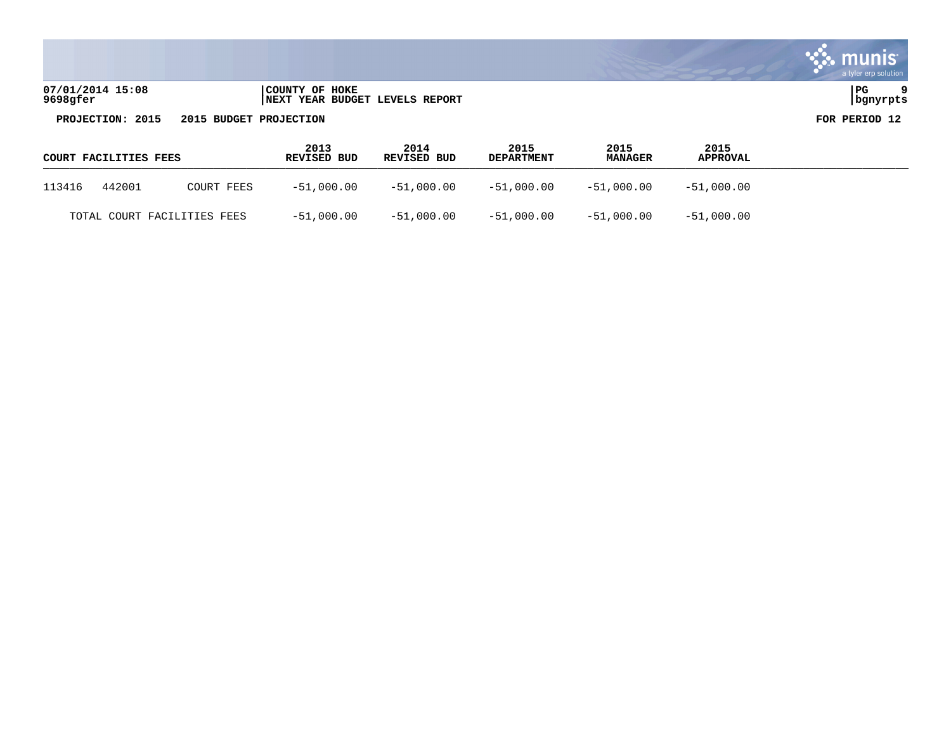|                              |                                                  | a tyler erp solution |
|------------------------------|--------------------------------------------------|----------------------|
| 07/01/2014 15:08<br>9698gfer | COUNTY OF HOKE<br>NEXT YEAR BUDGET LEVELS REPORT | PG<br>bgnyrpts       |
| PROJECTION: 2015             | 2015 BUDGET PROJECTION                           | FOR PERIOD 12        |

**Contract** 

| COURT FACILITIES FEES |        |                             | 2013<br>REVISED BUD | 2014<br>REVISED BUD | 2015<br><b>DEPARTMENT</b> | 2015<br><b>MANAGER</b>    | 2015<br><b>APPROVAL</b> |  |
|-----------------------|--------|-----------------------------|---------------------|---------------------|---------------------------|---------------------------|-------------------------|--|
| 113416                | 442001 | COURT FEES                  | $-51,000.00$        | -51,000.00          |                           | $-51,000.00$ $-51,000.00$ | $-51,000.00$            |  |
|                       |        | TOTAL COURT FACILITIES FEES | $-51,000.00$        | -51,000.00          | -51,000.00 -51,000.00     |                           | $-51,000.00$            |  |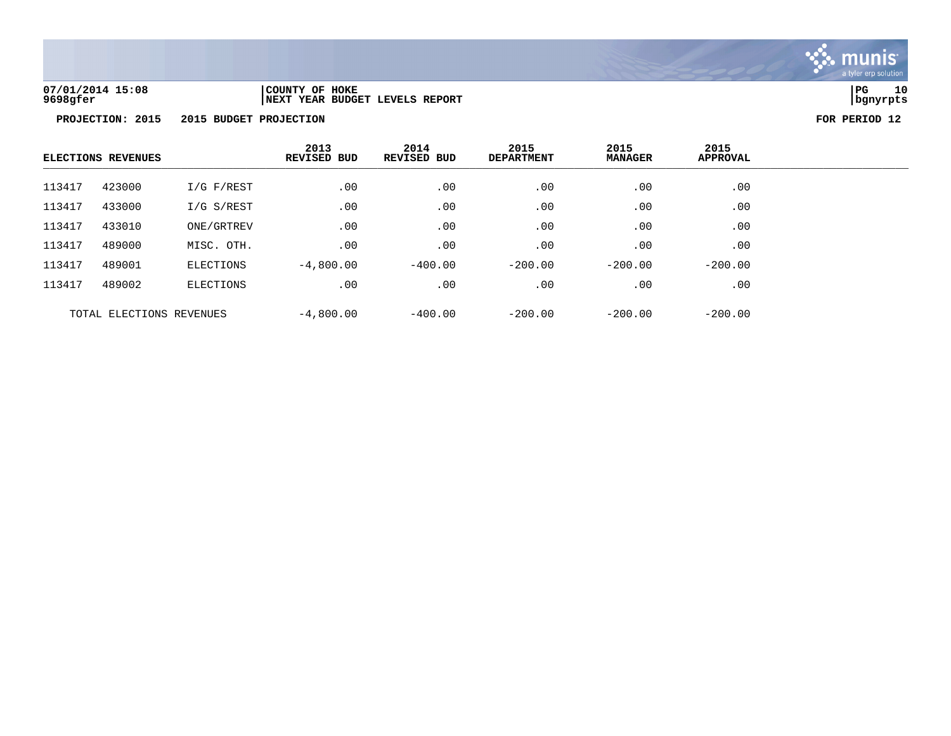

**07/01/2014 15:08 |COUNTY OF HOKE |PG 10 9698gfer |NEXT YEAR BUDGET LEVELS REPORT |bgnyrpts**

| <b>ELECTIONS REVENUES</b> |                          |                | 2013<br><b>REVISED BUD</b> | 2014<br><b>REVISED BUD</b> | 2015<br><b>DEPARTMENT</b> | 2015<br><b>MANAGER</b> | 2015<br><b>APPROVAL</b> |  |
|---------------------------|--------------------------|----------------|----------------------------|----------------------------|---------------------------|------------------------|-------------------------|--|
| 113417                    | 423000                   | $I/G$ $F/REST$ | .00                        | .00                        | .00                       | .00                    | .00                     |  |
| 113417                    | 433000                   | I/G S/REST     | .00                        | .00                        | .00                       | .00                    | .00                     |  |
| 113417                    | 433010                   | ONE/GRTREV     | .00                        | .00                        | .00                       | .00                    | .00                     |  |
| 113417                    | 489000                   | MISC. OTH.     | .00                        | .00                        | .00                       | .00                    | .00                     |  |
| 113417                    | 489001                   | ELECTIONS      | $-4,800.00$                | $-400.00$                  | $-200.00$                 | $-200.00$              | $-200.00$               |  |
| 113417                    | 489002                   | ELECTIONS      | .00                        | .00                        | .00                       | .00                    | .00                     |  |
|                           | TOTAL ELECTIONS REVENUES |                | $-4,800.00$                | $-400.00$                  | $-200.00$                 | $-200.00$              | $-200.00$               |  |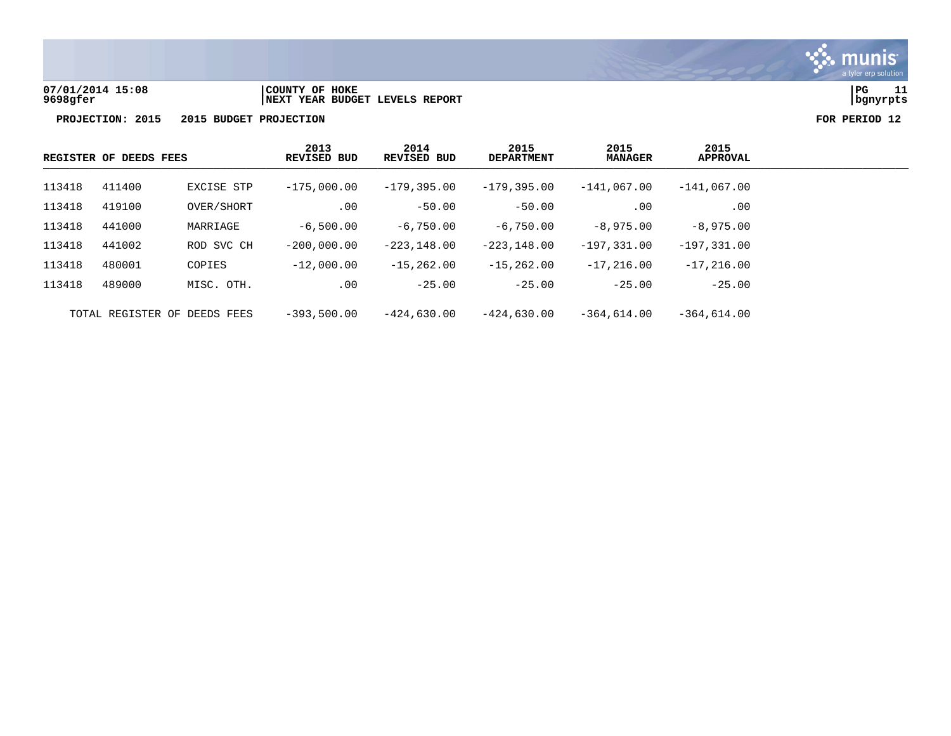

**07/01/2014 15:08 |COUNTY OF HOKE |PG 11 9698gfer |NEXT YEAR BUDGET LEVELS REPORT |bgnyrpts**

| REGISTER OF DEEDS FEES |        | 2013<br><b>REVISED BUD</b>   | 2014<br><b>REVISED BUD</b> | 2015<br><b>DEPARTMENT</b> | 2015<br><b>MANAGER</b> | 2015<br>APPROVAL |                |
|------------------------|--------|------------------------------|----------------------------|---------------------------|------------------------|------------------|----------------|
| 113418                 | 411400 | EXCISE STP                   | $-175,000.00$              | $-179,395.00$             | $-179.395.00$          | $-141.067.00$    | $-141,067.00$  |
| 113418                 | 419100 | OVER/SHORT                   | .00                        | $-50.00$                  | $-50.00$               | .00              | .00            |
| 113418                 | 441000 | MARRIAGE                     | $-6,500.00$                | $-6,750,00$               | $-6,750,00$            | $-8,975,00$      | $-8,975,00$    |
| 113418                 | 441002 | ROD SVC CH                   | $-200.000.00$              | $-223.148.00$             | $-223.148.00$          | $-197.331.00$    | $-197,331.00$  |
| 113418                 | 480001 | COPIES                       | $-12,000.00$               | $-15, 262, 00$            | $-15, 262, 00$         | $-17.216.00$     | $-17, 216, 00$ |
| 113418                 | 489000 | MISC. OTH.                   | .00                        | $-25.00$                  | $-25.00$               | $-25.00$         | $-25.00$       |
|                        |        | TOTAL REGISTER OF DEEDS FEES | $-393.500.00$              | $-424.630.00$             | $-424.630.00$          | $-364.614.00$    | $-364.614.00$  |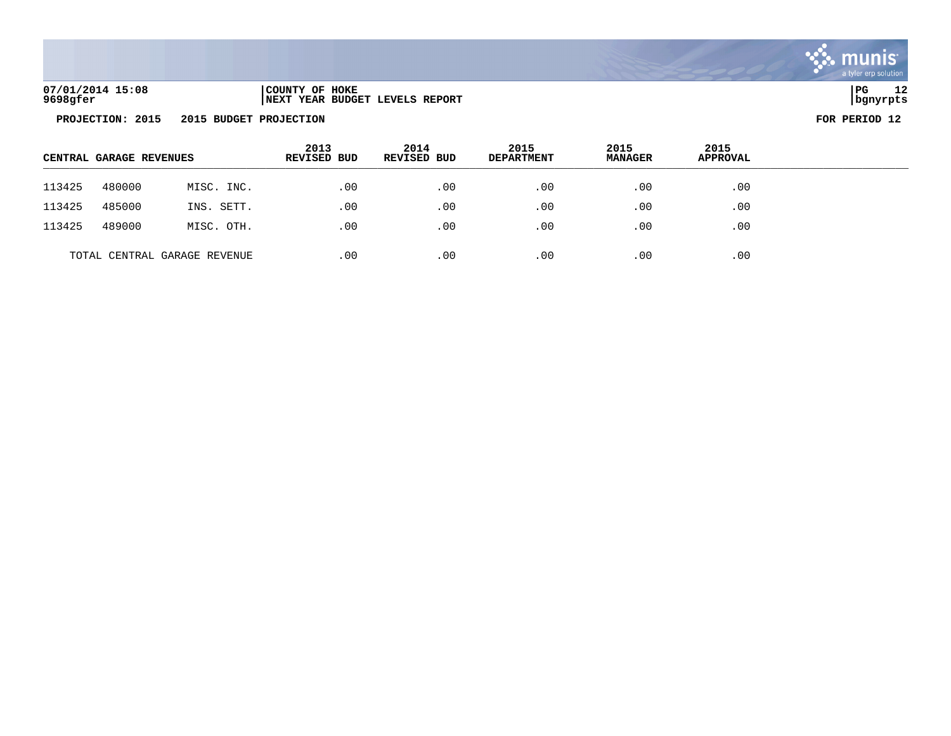

## **07/01/2014 15:08 |COUNTY OF HOKE |PG 12 9698gfer |NEXT YEAR BUDGET LEVELS REPORT |bgnyrpts**

| CENTRAL GARAGE REVENUES |        |                              | 2013<br><b>REVISED BUD</b> | 2014<br>REVISED BUD | 2015<br><b>DEPARTMENT</b> | 2015<br><b>MANAGER</b> | 2015<br><b>APPROVAL</b> |  |
|-------------------------|--------|------------------------------|----------------------------|---------------------|---------------------------|------------------------|-------------------------|--|
| 113425                  | 480000 | MISC. INC.                   | .00                        | .00                 | .00                       | .00                    | .00                     |  |
| 113425                  | 485000 | INS. SETT.                   | .00                        | .00                 | .00                       | .00                    | $.00 \,$                |  |
| 113425                  | 489000 | MISC. OTH.                   | .00                        | .00                 | .00                       | .00                    | $.00 \,$                |  |
|                         |        | TOTAL CENTRAL GARAGE REVENUE | .00                        | .00                 | .00                       | .00                    | .00                     |  |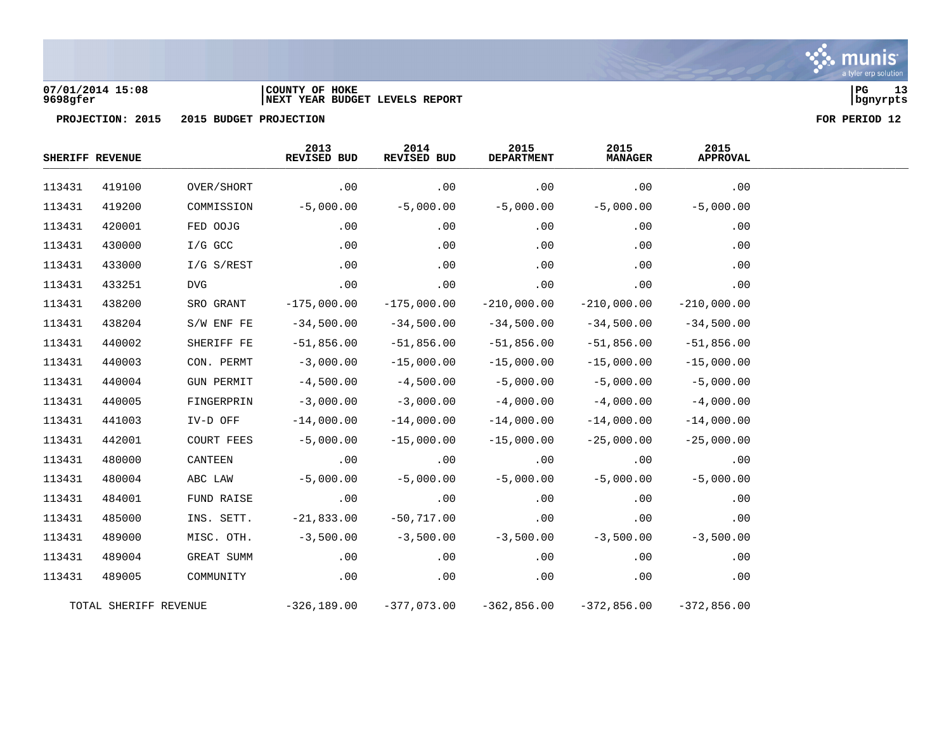

### **07/01/2014 15:08 |COUNTY OF HOKE |PG 13 9698gfer |NEXT YEAR BUDGET LEVELS REPORT |bgnyrpts**

|        | SHERIFF REVENUE       |                   | 2013<br>REVISED BUD | 2014<br>REVISED BUD | 2015<br><b>DEPARTMENT</b> | 2015<br><b>MANAGER</b> | 2015<br><b>APPROVAL</b> |
|--------|-----------------------|-------------------|---------------------|---------------------|---------------------------|------------------------|-------------------------|
| 113431 | 419100                | OVER/SHORT        | .00                 | .00                 | .00                       | .00                    | .00                     |
| 113431 | 419200                | COMMISSION        | $-5,000.00$         | $-5,000.00$         | $-5,000.00$               | $-5,000.00$            | $-5,000.00$             |
| 113431 | 420001                | FED OOJG          | .00                 | .00                 | .00                       | .00                    | .00                     |
| 113431 | 430000                | $I/G$ GCC         | .00                 | .00                 | .00                       | .00                    | .00                     |
| 113431 | 433000                | $I/G$ S/REST      | .00                 | .00                 | .00                       | .00                    | .00                     |
| 113431 | 433251                | <b>DVG</b>        | .00                 | .00                 | .00                       | .00                    | .00                     |
| 113431 | 438200                | SRO GRANT         | $-175,000.00$       | $-175,000.00$       | $-210,000.00$             | $-210,000.00$          | $-210,000.00$           |
| 113431 | 438204                | S/W ENF FE        | $-34,500.00$        | $-34,500.00$        | $-34,500.00$              | $-34,500.00$           | $-34,500.00$            |
| 113431 | 440002                | SHERIFF FE        | $-51,856.00$        | $-51,856.00$        | $-51,856.00$              | $-51,856.00$           | $-51,856.00$            |
| 113431 | 440003                | CON. PERMT        | $-3,000.00$         | $-15,000.00$        | $-15,000.00$              | $-15,000.00$           | $-15,000.00$            |
| 113431 | 440004                | <b>GUN PERMIT</b> | $-4,500.00$         | $-4,500.00$         | $-5,000.00$               | $-5,000.00$            | $-5,000.00$             |
| 113431 | 440005                | FINGERPRIN        | $-3,000.00$         | $-3,000.00$         | $-4,000.00$               | $-4,000.00$            | $-4,000.00$             |
| 113431 | 441003                | IV-D OFF          | $-14,000.00$        | $-14,000.00$        | $-14,000.00$              | $-14,000.00$           | $-14,000.00$            |
| 113431 | 442001                | COURT FEES        | $-5,000.00$         | $-15,000.00$        | $-15,000.00$              | $-25,000.00$           | $-25,000.00$            |
| 113431 | 480000                | CANTEEN           | .00                 | .00                 | .00                       | .00                    | .00                     |
| 113431 | 480004                | ABC LAW           | $-5,000.00$         | $-5,000.00$         | $-5,000.00$               | $-5,000.00$            | $-5,000.00$             |
| 113431 | 484001                | FUND RAISE        | .00                 | .00                 | .00                       | .00                    | .00                     |
| 113431 | 485000                | INS. SETT.        | $-21,833.00$        | $-50,717.00$        | .00                       | .00                    | .00                     |
| 113431 | 489000                | MISC. OTH.        | $-3,500.00$         | $-3,500.00$         | $-3,500.00$               | $-3,500.00$            | $-3,500.00$             |
| 113431 | 489004                | GREAT SUMM        | .00                 | .00                 | .00                       | .00                    | .00                     |
| 113431 | 489005                | COMMUNITY         | .00                 | .00                 | .00                       | .00                    | .00                     |
|        | TOTAL SHERIFF REVENUE |                   | $-326, 189.00$      | $-377,073.00$       | $-362,856.00$             | $-372,856.00$          | $-372.856.00$           |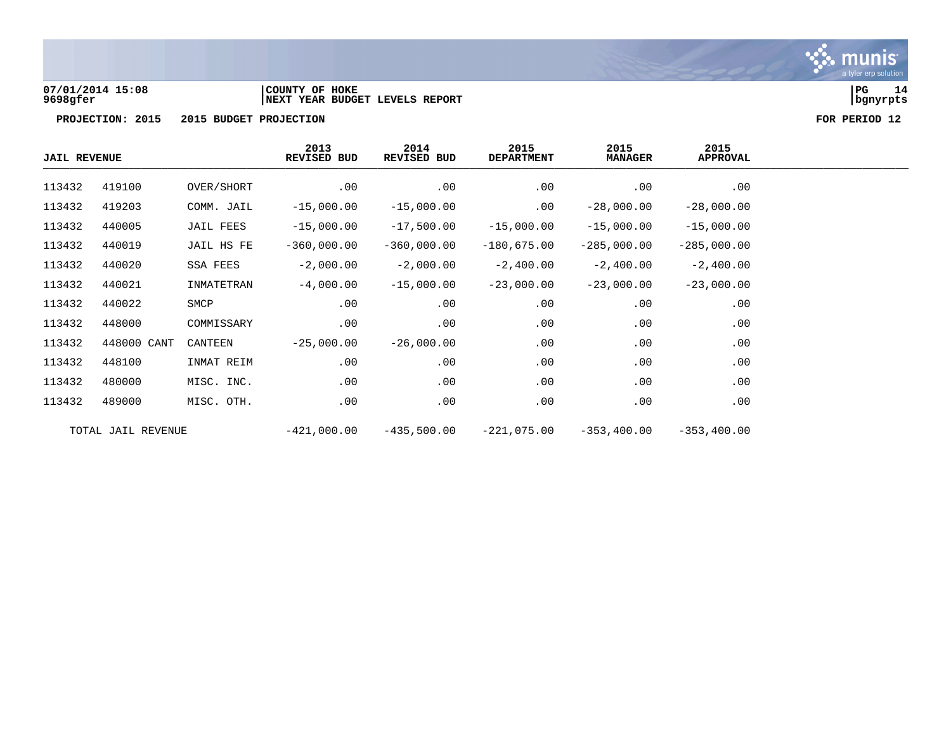

**07/01/2014 15:08 |COUNTY OF HOKE |PG 14 9698gfer |NEXT YEAR BUDGET LEVELS REPORT |bgnyrpts**

| <b>JAIL REVENUE</b> |                    |            | 2013<br><b>REVISED BUD</b> | 2014<br>REVISED BUD | 2015<br><b>DEPARTMENT</b> | 2015<br><b>MANAGER</b> | 2015<br>APPROVAL |
|---------------------|--------------------|------------|----------------------------|---------------------|---------------------------|------------------------|------------------|
| 113432              | 419100             | OVER/SHORT | .00                        | .00                 | .00                       | .00                    | .00              |
| 113432              | 419203             | COMM. JAIL | $-15,000.00$               | $-15,000.00$        | .00                       | $-28,000.00$           | $-28,000.00$     |
| 113432              | 440005             | JAIL FEES  | $-15,000.00$               | $-17,500.00$        | $-15,000.00$              | $-15,000.00$           | $-15,000.00$     |
| 113432              | 440019             | JAIL HS FE | $-360,000.00$              | $-360,000.00$       | $-180,675.00$             | $-285,000.00$          | $-285,000.00$    |
| 113432              | 440020             | SSA FEES   | $-2,000.00$                | $-2,000.00$         | $-2,400.00$               | $-2,400.00$            | $-2,400.00$      |
| 113432              | 440021             | INMATETRAN | $-4,000.00$                | $-15,000.00$        | $-23,000.00$              | $-23,000.00$           | $-23,000.00$     |
| 113432              | 440022             | SMCP       | .00                        | .00                 | .00                       | .00                    | .00              |
| 113432              | 448000             | COMMISSARY | .00                        | .00                 | .00                       | .00                    | .00              |
| 113432              | 448000 CANT        | CANTEEN    | $-25,000.00$               | $-26,000.00$        | .00                       | .00                    | .00              |
| 113432              | 448100             | INMAT REIM | .00                        | .00                 | .00                       | .00                    | .00              |
| 113432              | 480000             | MISC. INC. | .00                        | .00                 | .00                       | .00                    | .00              |
| 113432              | 489000             | MISC. OTH. | .00                        | .00                 | .00                       | .00                    | .00              |
|                     | TOTAL JAIL REVENUE |            | $-421,000.00$              | $-435,500.00$       | $-221,075.00$             | $-353,400.00$          | $-353, 400.00$   |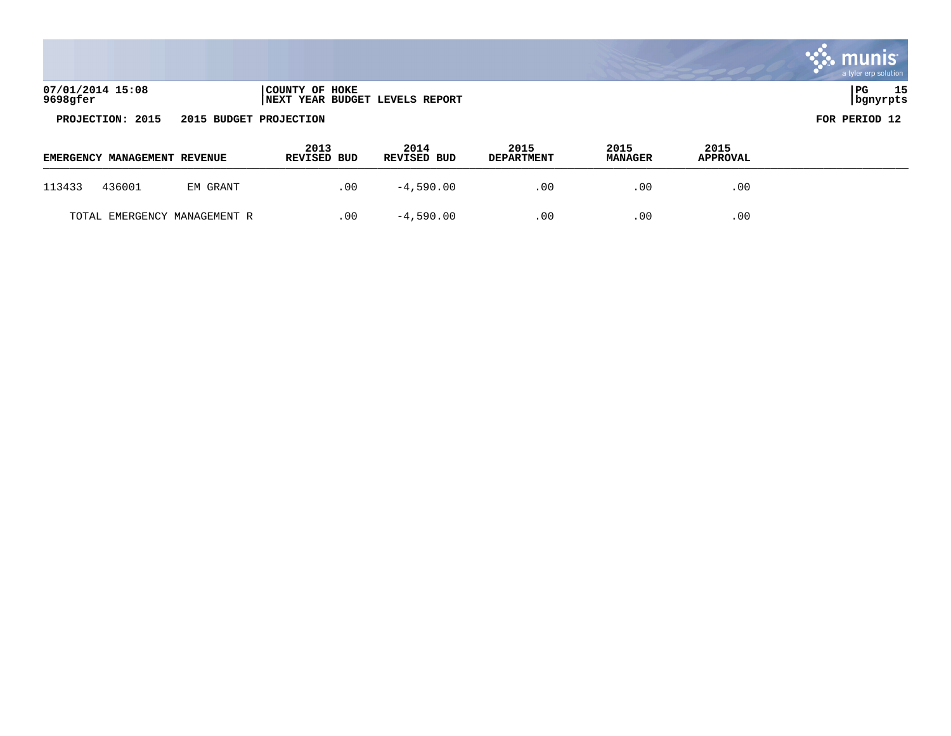|                              |                        |                                |      |      |      | munis<br>a tyler erp solution |
|------------------------------|------------------------|--------------------------------|------|------|------|-------------------------------|
| 07/01/2014 15:08<br>9698gfer | COUNTY OF HOKE         | NEXT YEAR BUDGET LEVELS REPORT |      |      |      | 15<br>  PG<br>  bgnyrpts      |
| PROJECTION: 2015             | 2015 BUDGET PROJECTION |                                |      |      |      | FOR PERIOD 12                 |
|                              | 2013                   | 2014                           | 2015 | 2015 | 2015 |                               |

the company of the company of the com-

| EMERGENCY MANAGEMENT REVENUE |        |                              | ∠ ∪ ⊥<br>REVISED BUD | -4017<br><b>REVISED BUD</b> | - 2019<br><b>DEPARTMENT</b> | ∠ ∪ ⊥<br><b>MANAGER</b> | ∠∪⊥<br><b>APPROVAL</b> |  |
|------------------------------|--------|------------------------------|----------------------|-----------------------------|-----------------------------|-------------------------|------------------------|--|
| 113433                       | 436001 | EM GRANT                     | .00                  | $-4,590.00$                 | . 00                        | $.00 \,$                | .00                    |  |
|                              |        | TOTAL EMERGENCY MANAGEMENT R | .00                  | $-4,590.00$                 | .00                         | .00                     | .00                    |  |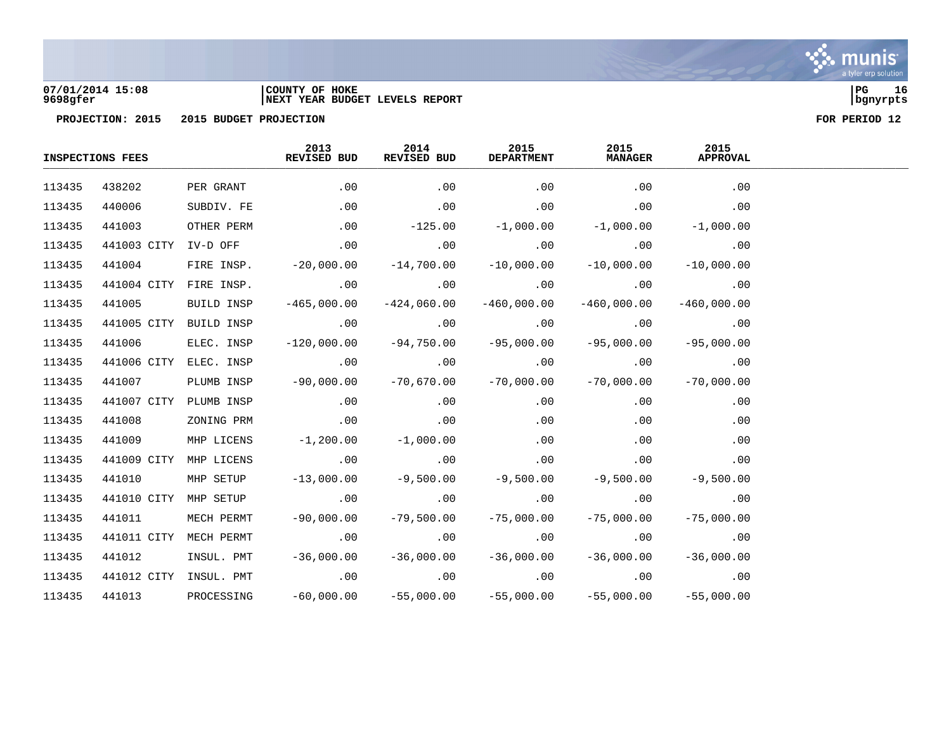

**07/01/2014 15:08 |COUNTY OF HOKE |PG 16 9698gfer |NEXT YEAR BUDGET LEVELS REPORT |bgnyrpts**

|        | <b>INSPECTIONS FEES</b> |                        | 2013<br>REVISED BUD                                                            | 2014<br>REVISED BUD                                          | 2015<br><b>DEPARTMENT</b> | 2015<br><b>MANAGER</b>                              | 2015<br><b>APPROVAL</b> |  |
|--------|-------------------------|------------------------|--------------------------------------------------------------------------------|--------------------------------------------------------------|---------------------------|-----------------------------------------------------|-------------------------|--|
| 113435 | 438202                  |                        | PER GRANT .00                                                                  | .00                                                          | .00                       | .00                                                 | .00                     |  |
| 113435 | 440006                  | SUBDIV. FE             |                                                                                | $00$ . $00$ . $00$                                           |                           | .00                                                 | .00                     |  |
| 113435 | 441003                  | OTHER PERM             | $-125.00$ $-1,000.00$                                                          |                                                              |                           |                                                     | $-1,000.00$ $-1,000.00$ |  |
| 113435 |                         |                        | 441003 CITY IV-D OFF 000 00 00 00 00 00                                        |                                                              |                           | .00                                                 | .00                     |  |
| 113435 | 441004                  |                        | FIRE INSP. $-20,000.00$ $-14,700.00$ $-10,000.00$                              |                                                              |                           | $-10,000.00$                                        | $-10,000.00$            |  |
| 113435 |                         |                        | 441004 CITY FIRE INSP. 00 00 00                                                |                                                              | $\sim$ 00                 | .00                                                 | .00                     |  |
| 113435 | 441005                  | BUILD INSP             | $-465,000.00$ $-424,060.00$                                                    |                                                              | $-460,000.00$             | $-460,000.00$                                       | $-460.000.00$           |  |
| 113435 |                         |                        | 441005 CITY BUILD INSP 00 00 00 00 00                                          |                                                              |                           | $.00$ . $.00$                                       |                         |  |
| 113435 | 441006                  | ELEC. INSP             | $-120,000.00$ $-94,750.00$ $-95,000.00$                                        |                                                              |                           | $-95,000.00$                                        | $-95,000.00$            |  |
| 113435 |                         |                        |                                                                                |                                                              |                           |                                                     |                         |  |
| 113435 | 441007                  | PLUMB INSP             | $-90,000.00$ $-70,670.00$ $-70,000.00$                                         |                                                              |                           | $-70,000.00$                                        | $-70,000.00$            |  |
| 113435 |                         | 441007 CITY PLUMB INSP | $\sim$ 00 $\sim$ 00 $\sim$ 00 $\sim$ 00                                        |                                                              |                           |                                                     | $.00$ . $.00$           |  |
| 113435 | 441008                  | ZONING PRM             | $.00$ . $.00$                                                                  |                                                              | .00                       | .00                                                 | .00                     |  |
| 113435 | 441009                  | MHP LICENS             | $-1,200.00$ $-1,000.00$                                                        |                                                              | $\sim$ 00                 | .00                                                 | .00                     |  |
| 113435 | 441009 CITY             | MHP LICENS             | $\sim 00$ . $00$                                                               |                                                              | .00                       | $\overline{00}$ . $\overline{00}$ . $\overline{00}$ |                         |  |
| 113435 | 441010                  | MHP SETUP              |                                                                                | $-13,000.00$ $-9,500.00$ $-9,500.00$ $-9,500.00$ $-9,500.00$ |                           |                                                     |                         |  |
| 113435 |                         |                        |                                                                                |                                                              |                           |                                                     |                         |  |
| 113435 | 441011                  | MECH PERMT             | $-90,000.00$                                                                   |                                                              | $-79,500.00$ $-75,000.00$ | $-75,000.00$                                        | $-75,000.00$            |  |
| 113435 |                         | 441011 CITY MECH PERMT | .00                                                                            |                                                              | $\overline{00}$ . $00$    | .00                                                 | .00                     |  |
| 113435 | 441012                  |                        | $INSUL. PMT$ -36,000.00 -36,000.00 -36,000.00 -36,000.00 -36,000.00 -36,000.00 |                                                              |                           |                                                     |                         |  |
| 113435 |                         |                        | 441012 CITY INSUL. PMT 00 00 00 00 00 00 00 00                                 |                                                              |                           |                                                     | .00                     |  |
| 113435 |                         |                        | 441013 PROCESSING -60,000.00 -55,000.00 -55,000.00 -55,000.00                  |                                                              |                           |                                                     | $-55,000.00$            |  |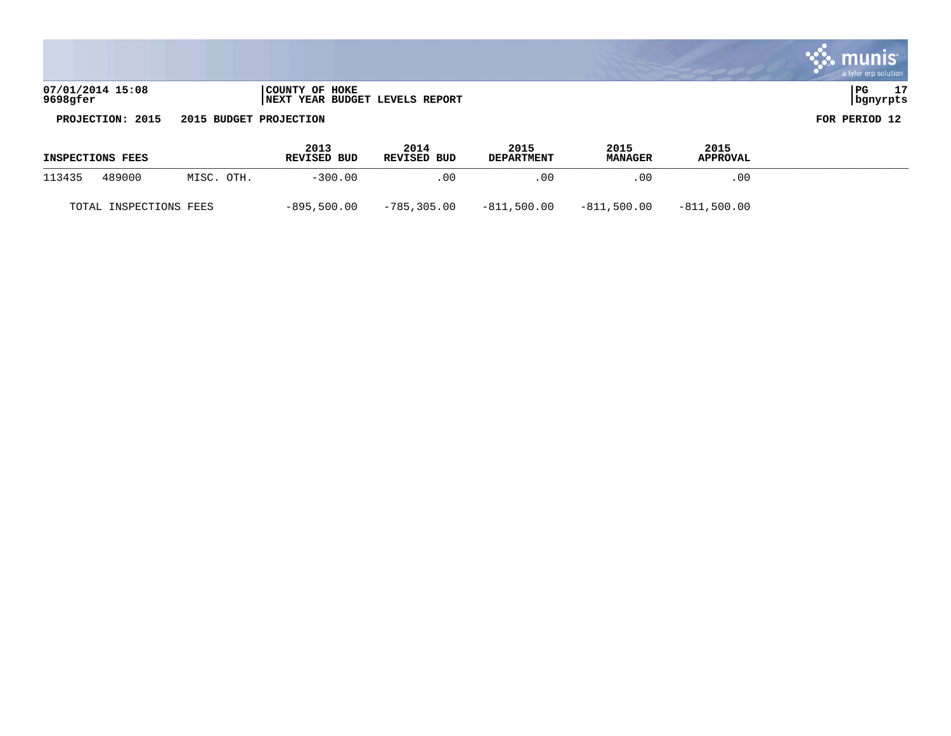|                              |                                                  | ete, munis<br>a tyler erp solution |
|------------------------------|--------------------------------------------------|------------------------------------|
| 07/01/2014 15:08<br>9698gfer | COUNTY OF HOKE<br>NEXT YEAR BUDGET LEVELS REPORT | 17<br>l PG<br>  bgnyrpts           |
| PROJECTION: 2015             | 2015 BUDGET PROJECTION                           | FOR PERIOD 12                      |

<u>and the state of the state of the state of the state of the state of the state of the state of the state of the state of the state of the state of the state of the state of the state of the state of the state of the state</u>

**Contract** 

| <b>INSPECTIONS FEES</b> |                        |            | 2013<br>REVISED BUD | 2014<br><b>REVISED BUD</b> | 2015<br><b>DEPARTMENT</b> | 2015<br><b>MANAGER</b> | 2015<br><b>APPROVAL</b> |  |
|-------------------------|------------------------|------------|---------------------|----------------------------|---------------------------|------------------------|-------------------------|--|
| 113435                  | 489000                 | MISC. OTH. | $-300.00$           | . 00                       | .00                       | .00                    | .00.                    |  |
|                         | TOTAL INSPECTIONS FEES |            | $-895,500.00$       | -785,305.00                | $-811,500.00$             | $-811,500.00$          | $-811.500.00$           |  |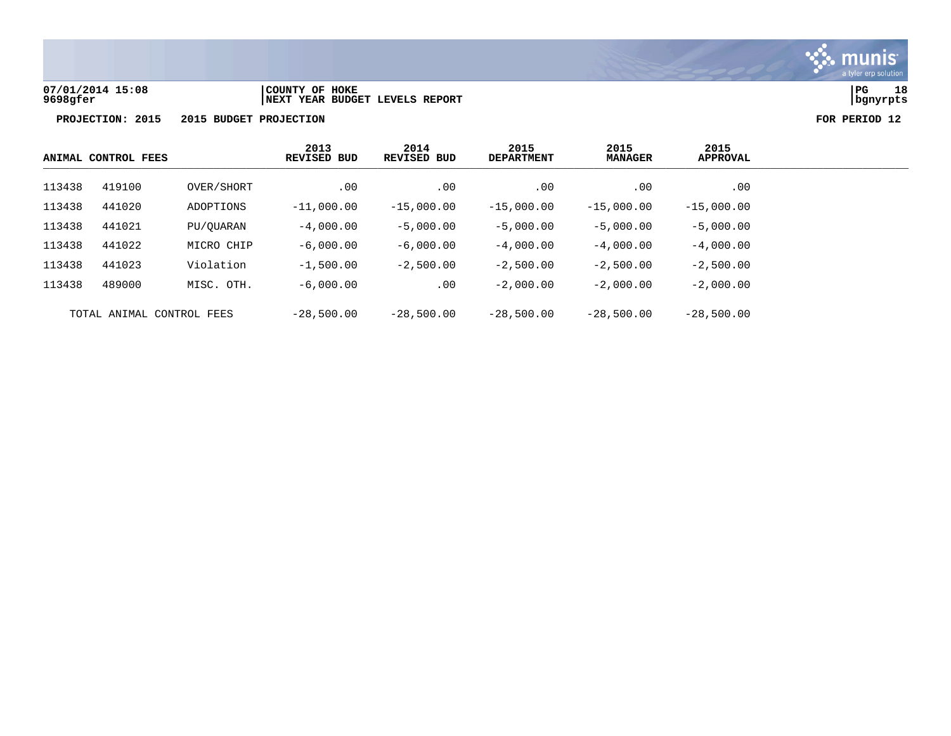

### **07/01/2014 15:08 |COUNTY OF HOKE |PG 18 9698gfer |NEXT YEAR BUDGET LEVELS REPORT |bgnyrpts**

| ANIMAL CONTROL FEES       |        | 2013<br><b>REVISED BUD</b> | 2014<br><b>REVISED BUD</b> | 2015<br><b>DEPARTMENT</b> | 2015<br><b>MANAGER</b> | 2015<br><b>APPROVAL</b> |              |
|---------------------------|--------|----------------------------|----------------------------|---------------------------|------------------------|-------------------------|--------------|
| 113438                    | 419100 | OVER/SHORT                 | .00                        | .00                       | .00                    | .00                     | .00          |
| 113438                    | 441020 | ADOPTIONS                  | $-11,000.00$               | $-15,000.00$              | $-15,000.00$           | $-15,000.00$            | $-15,000.00$ |
| 113438                    | 441021 | PU/OUARAN                  | $-4,000,00$                | $-5,000.00$               | $-5,000.00$            | $-5,000.00$             | $-5,000.00$  |
| 113438                    | 441022 | MICRO CHIP                 | $-6,000,00$                | $-6,000.00$               | $-4,000.00$            | $-4,000.00$             | $-4,000.00$  |
| 113438                    | 441023 | Violation                  | $-1,500.00$                | $-2,500.00$               | $-2.500.00$            | $-2,500.00$             | $-2.500.00$  |
| 113438                    | 489000 | MISC. OTH.                 | $-6,000,00$                | .00                       | $-2.000.00$            | $-2,000.00$             | $-2,000.00$  |
| TOTAL ANIMAL CONTROL FEES |        | $-28,500.00$               | $-28,500.00$               | $-28,500.00$              | $-28,500.00$           | $-28,500.00$            |              |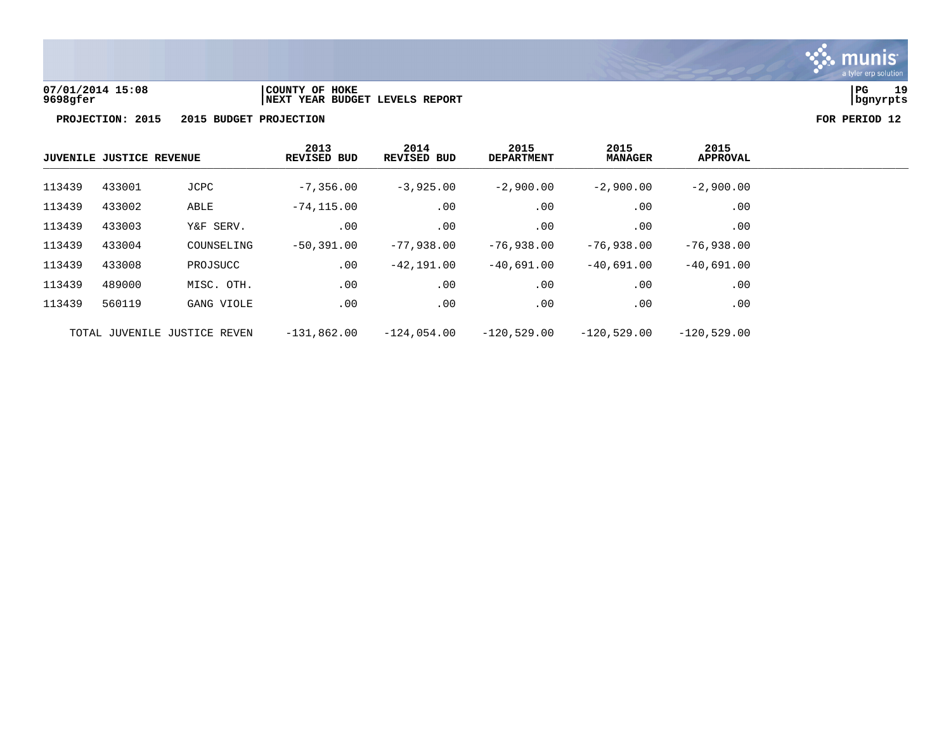

# **07/01/2014 15:08 |COUNTY OF HOKE |PG 19 9698gfer |NEXT YEAR BUDGET LEVELS REPORT |bgnyrpts**

| <b>JUVENILE JUSTICE REVENUE</b> |        |                              | 2013<br><b>REVISED BUD</b> | 2014<br><b>REVISED BUD</b> | 2015<br><b>DEPARTMENT</b> | 2015<br><b>MANAGER</b> | 2015<br><b>APPROVAL</b> |
|---------------------------------|--------|------------------------------|----------------------------|----------------------------|---------------------------|------------------------|-------------------------|
| 113439                          | 433001 | JCPC                         | $-7,356.00$                | $-3,925.00$                | $-2,900.00$               | $-2,900.00$            | $-2,900.00$             |
| 113439                          | 433002 | ABLE                         | $-74, 115.00$              | .00                        | .00                       | .00                    | .00                     |
| 113439                          | 433003 | Y&F SERV.                    | .00                        | .00                        | .00                       | .00                    | .00                     |
| 113439                          | 433004 | COUNSELING                   | $-50,391.00$               | $-77,938.00$               | $-76,938.00$              | $-76,938.00$           | $-76,938.00$            |
| 113439                          | 433008 | PROJSUCC                     | .00                        | $-42,191.00$               | -40,691.00                | $-40.691.00$           | $-40,691.00$            |
| 113439                          | 489000 | MISC. OTH.                   | .00                        | .00                        | .00                       | .00                    | .00                     |
| 113439                          | 560119 | GANG VIOLE                   | .00                        | .00                        | .00                       | .00                    | .00                     |
|                                 |        | TOTAL JUVENILE JUSTICE REVEN | $-131,862.00$              | $-124,054.00$              | $-120,529.00$             | $-120.529.00$          | $-120.529.00$           |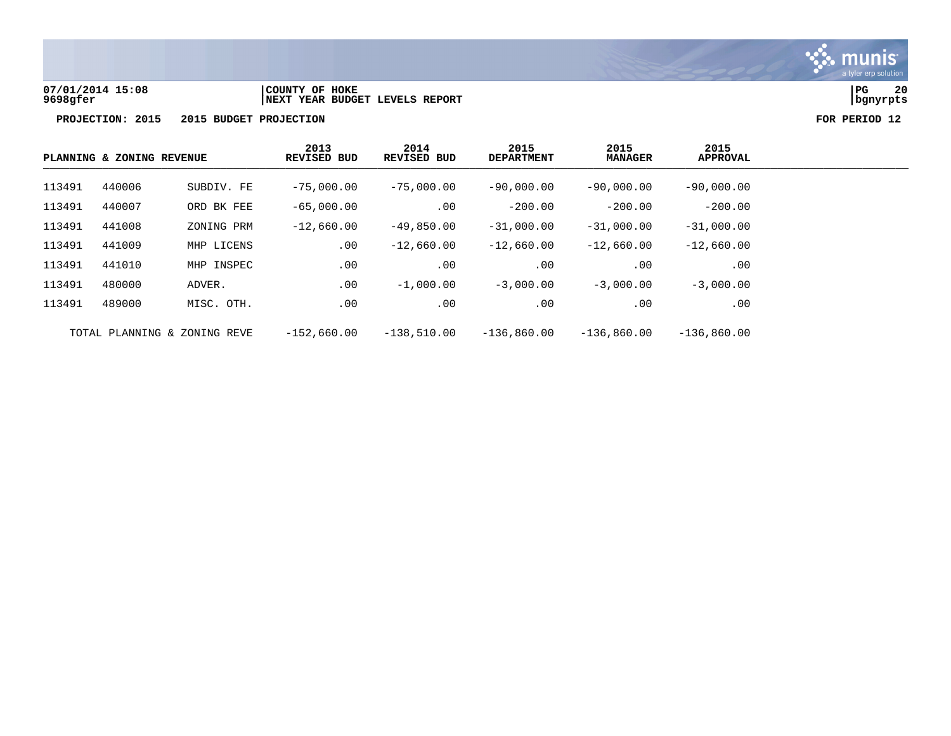

# **07/01/2014 15:08 |COUNTY OF HOKE |PG 20 9698gfer |NEXT YEAR BUDGET LEVELS REPORT |bgnyrpts**

|        | PLANNING & ZONING REVENUE |                              | 2013<br><b>REVISED BUD</b> | 2014<br>REVISED BUD | 2015<br><b>DEPARTMENT</b> | 2015<br><b>MANAGER</b> | 2015<br><b>APPROVAL</b> |
|--------|---------------------------|------------------------------|----------------------------|---------------------|---------------------------|------------------------|-------------------------|
| 113491 | 440006                    | SUBDIV. FE                   | $-75,000.00$               | $-75,000.00$        | $-90,000.00$              | $-90,000.00$           | $-90,000.00$            |
| 113491 | 440007                    | ORD BK FEE                   | $-65,000.00$               | .00                 | $-200.00$                 | $-200.00$              | $-200.00$               |
| 113491 | 441008                    | ZONING PRM                   | $-12,660.00$               | $-49,850.00$        | $-31,000.00$              | $-31,000.00$           | $-31,000.00$            |
| 113491 | 441009                    | MHP LICENS                   | .00                        | $-12,660.00$        | $-12,660.00$              | $-12,660.00$           | $-12,660.00$            |
| 113491 | 441010                    | MHP INSPEC                   | .00                        | .00                 | $.00 \ \,$                | .00                    | .00                     |
| 113491 | 480000                    | ADVER.                       | .00                        | $-1,000.00$         | $-3,000.00$               | $-3,000.00$            | $-3,000.00$             |
| 113491 | 489000                    | MISC. OTH.                   | .00                        | .00                 | $.00 \ \,$                | .00                    | .00                     |
|        |                           | TOTAL PLANNING & ZONING REVE | $-152.660.00$              | $-138,510.00$       | $-136.860.00$             | $-136.860.00$          | $-136,860.00$           |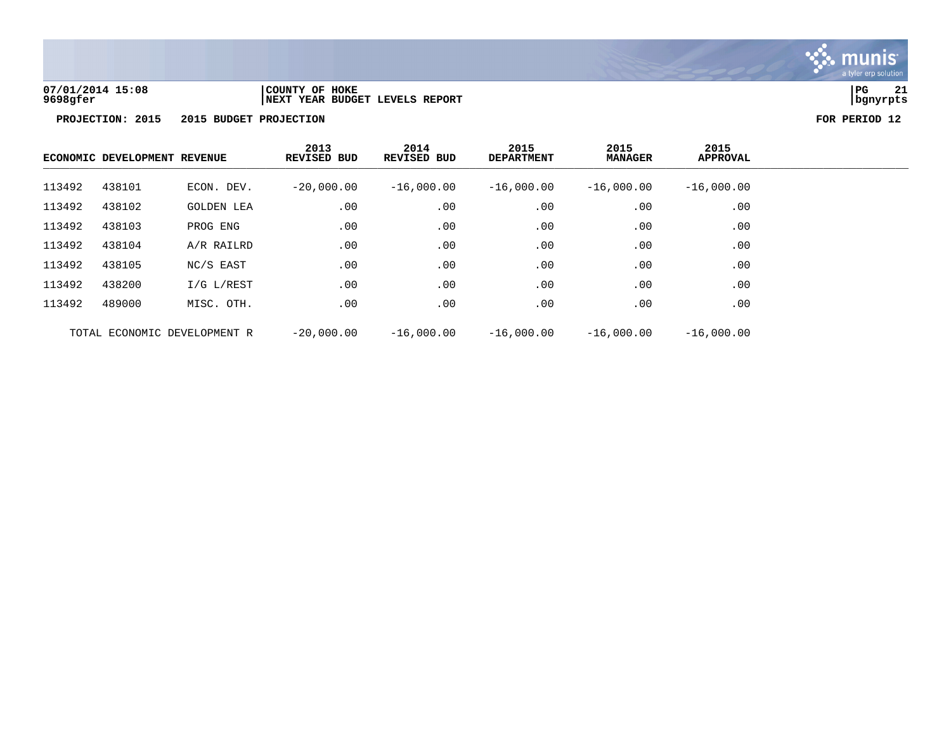

**07/01/2014 15:08 |COUNTY OF HOKE |PG 21**

**PROJECTION: 2015 2015 BUDGET PROJECTION FOR PERIOD 12**

|                              | ECONOMIC DEVELOPMENT REVENUE |                   | 2013<br>REVISED BUD | 2014<br>REVISED BUD | 2015<br><b>DEPARTMENT</b> | 2015<br><b>MANAGER</b> | 2015<br><b>APPROVAL</b> |
|------------------------------|------------------------------|-------------------|---------------------|---------------------|---------------------------|------------------------|-------------------------|
| 113492                       | 438101                       | ECON. DEV.        | $-20,000.00$        | $-16,000.00$        | $-16,000.00$              | $-16,000.00$           | $-16,000.00$            |
| 113492                       | 438102                       | <b>GOLDEN LEA</b> | .00                 | .00                 | .00                       | .00                    | .00                     |
| 113492                       | 438103                       | PROG ENG          | .00                 | .00                 | .00                       | .00                    | .00                     |
| 113492                       | 438104                       | A/R RAILRD        | .00                 | .00                 | .00                       | .00                    | $.00 \,$                |
| 113492                       | 438105                       | NC/S EAST         | .00                 | .00                 | .00                       | .00                    | .00                     |
| 113492                       | 438200                       | $I/G$ $L/REST$    | .00                 | .00                 | .00                       | .00                    | .00                     |
| 113492                       | 489000                       | MISC. OTH.        | .00                 | .00                 | .00                       | .00                    | .00                     |
| TOTAL ECONOMIC DEVELOPMENT R |                              | $-20.000.00$      | $-16,000.00$        | $-16,000.00$        | $-16,000,00$              | $-16,000.00$           |                         |

**9698gfer |NEXT YEAR BUDGET LEVELS REPORT |bgnyrpts**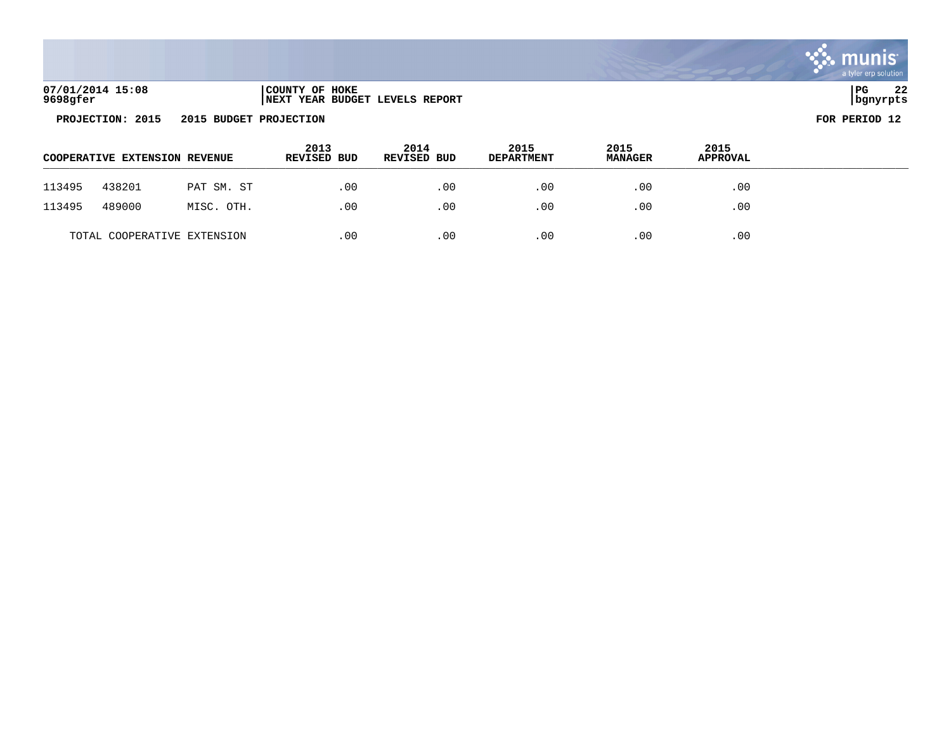| 07/01/2014 15:08 | COUNTY OF HOKE                 | l PG     | ົ<br>44 |
|------------------|--------------------------------|----------|---------|
| 9698gfer         | NEXT YEAR BUDGET LEVELS REPORT | bgnyrpts |         |

|        | <b>COOPERATIVE EXTENSION REVENUE</b> |            | 2013<br><b>REVISED BUD</b> | 2014<br><b>REVISED BUD</b> | 2015<br><b>DEPARTMENT</b> | 2015<br><b>MANAGER</b> | 2015<br>APPROVAL |  |
|--------|--------------------------------------|------------|----------------------------|----------------------------|---------------------------|------------------------|------------------|--|
| 113495 | 438201                               | PAT SM. ST | .00                        | .00                        | .00                       | .00                    | .00              |  |
| 113495 | 489000                               | MISC. OTH. | .00                        | .00                        | .00                       | .00                    | .00              |  |
|        | TOTAL COOPERATIVE EXTENSION          |            | .00                        | .00                        | .00                       | .00                    | .00              |  |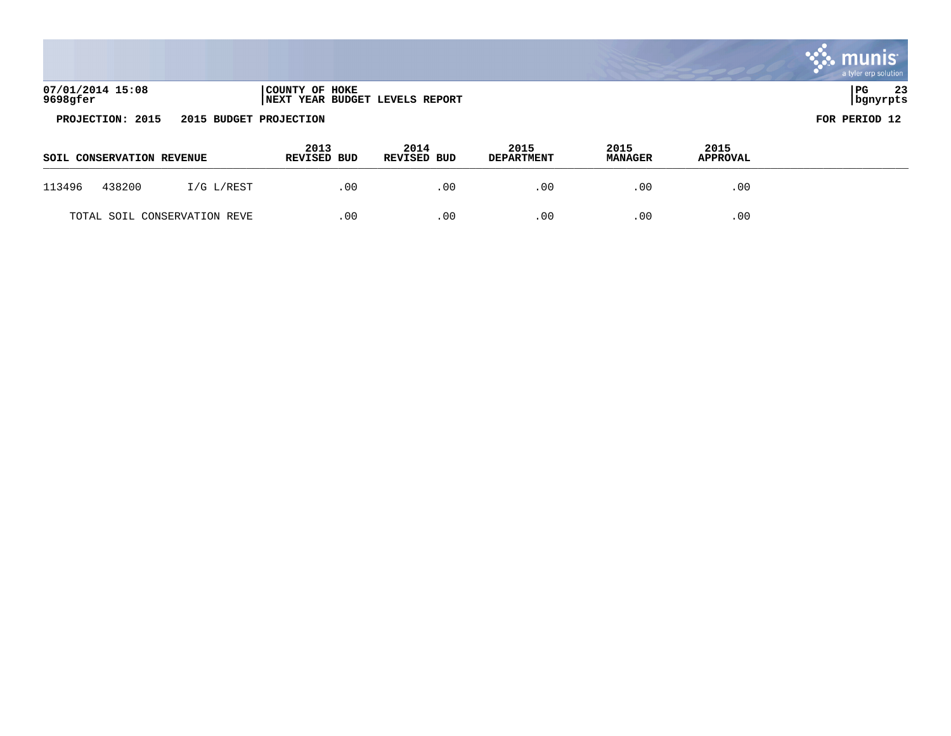|                              |                                                  | -mu<br>a tyler erp solution |
|------------------------------|--------------------------------------------------|-----------------------------|
| 07/01/2014 15:08<br>9698gfer | COUNTY OF HOKE<br>NEXT YEAR BUDGET LEVELS REPORT | 23<br>PG<br>  bgnyrpts      |
| PROJECTION: 2015             | 2015 BUDGET PROJECTION                           | FOR PERIOD 12               |

| SOIL CONSERVATION REVENUE    |            | 2013<br><b>REVISED BUD</b> | 2014<br><b>REVISED BUD</b> | 2015<br><b>DEPARTMENT</b> | 2015<br><b>MANAGER</b> | 2015<br><b>APPROVAL</b> |  |
|------------------------------|------------|----------------------------|----------------------------|---------------------------|------------------------|-------------------------|--|
| 438200<br>113496             | I/G L/REST | .00                        | .00                        | .00                       | . 00                   | .00                     |  |
| TOTAL SOIL CONSERVATION REVE |            | .00                        | .00                        | .00                       | 00                     | .00                     |  |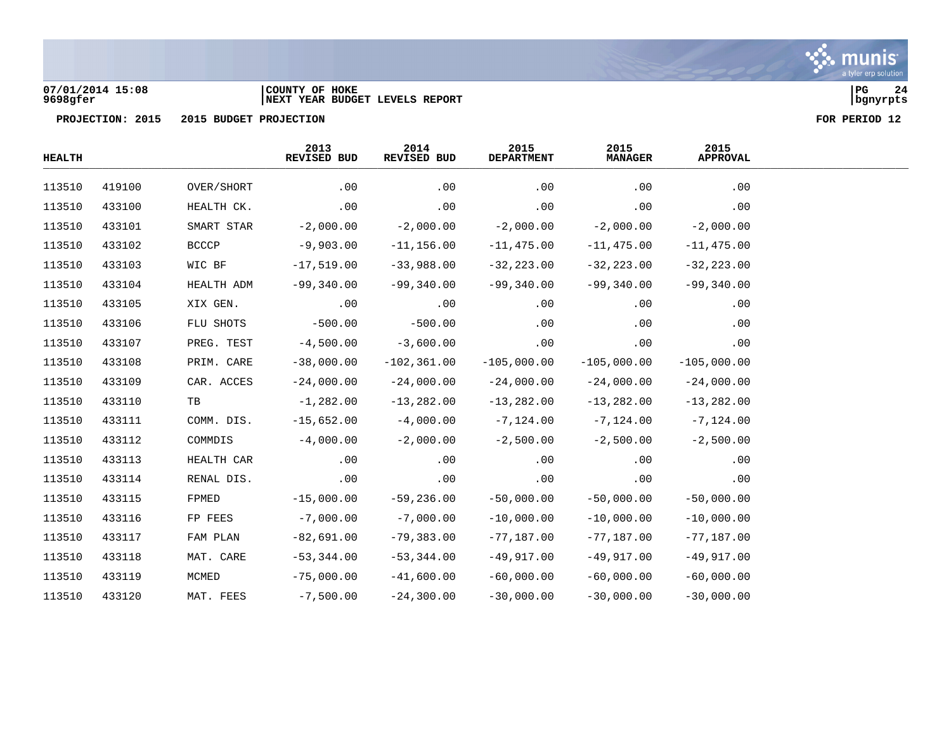

### **07/01/2014 15:08 |COUNTY OF HOKE |PG 24 9698gfer |NEXT YEAR BUDGET LEVELS REPORT |bgnyrpts**

| <b>HEALTH</b> |        |              | 2013<br>REVISED BUD | 2014<br>REVISED BUD | 2015<br><b>DEPARTMENT</b> | 2015<br><b>MANAGER</b> | 2015<br><b>APPROVAL</b> |  |
|---------------|--------|--------------|---------------------|---------------------|---------------------------|------------------------|-------------------------|--|
| 113510        | 419100 | OVER/SHORT   | .00                 | .00                 | .00                       | .00                    | .00                     |  |
| 113510        | 433100 | HEALTH CK.   | .00                 | .00                 | .00                       | .00                    | .00                     |  |
| 113510        | 433101 | SMART STAR   | $-2,000.00$         | $-2,000.00$         | $-2,000.00$               | $-2,000.00$            | $-2,000.00$             |  |
| 113510        | 433102 | <b>BCCCP</b> | $-9,903.00$         | $-11, 156.00$       | $-11,475.00$              | $-11,475.00$           | $-11,475.00$            |  |
| 113510        | 433103 | WIC BF       | $-17,519.00$        | $-33,988.00$        | $-32, 223.00$             | $-32, 223.00$          | $-32, 223.00$           |  |
| 113510        | 433104 | HEALTH ADM   | $-99,340.00$        | $-99,340.00$        | $-99,340.00$              | $-99,340.00$           | $-99,340.00$            |  |
| 113510        | 433105 | XIX GEN.     | .00                 | .00                 | .00                       | .00                    | .00                     |  |
| 113510        | 433106 | FLU SHOTS    | $-500.00$           | $-500.00$           | .00                       | .00                    | .00                     |  |
| 113510        | 433107 | PREG. TEST   | $-4,500.00$         | $-3,600.00$         | .00                       | .00                    | .00                     |  |
| 113510        | 433108 | PRIM. CARE   | $-38,000.00$        | $-102, 361.00$      | $-105,000.00$             | $-105,000.00$          | $-105,000.00$           |  |
| 113510        | 433109 | CAR. ACCES   | $-24,000.00$        | $-24,000.00$        | $-24,000.00$              | $-24,000.00$           | $-24,000.00$            |  |
| 113510        | 433110 | TB           | $-1,282.00$         | $-13, 282.00$       | $-13,282.00$              | $-13,282.00$           | $-13,282.00$            |  |
| 113510        | 433111 | COMM. DIS.   | $-15,652.00$        | $-4,000.00$         | $-7, 124.00$              | $-7, 124.00$           | $-7, 124.00$            |  |
| 113510        | 433112 | COMMDIS      | $-4,000.00$         | $-2,000.00$         | $-2,500.00$               | $-2,500.00$            | $-2,500.00$             |  |
| 113510        | 433113 | HEALTH CAR   | .00                 | .00                 | .00                       | .00                    | .00                     |  |
| 113510        | 433114 | RENAL DIS.   | .00                 | .00                 | .00                       | .00                    | .00                     |  |
| 113510        | 433115 | FPMED        | $-15,000.00$        | $-59,236.00$        | $-50,000.00$              | $-50,000.00$           | $-50,000.00$            |  |
| 113510        | 433116 | FP FEES      | $-7,000.00$         | $-7,000.00$         | $-10,000.00$              | $-10,000.00$           | $-10,000.00$            |  |
| 113510        | 433117 | FAM PLAN     | $-82,691.00$        | $-79,383.00$        | $-77,187.00$              | $-77,187.00$           | $-77,187.00$            |  |
| 113510        | 433118 | MAT. CARE    | $-53,344.00$        | $-53,344.00$        | $-49,917.00$              | $-49,917.00$           | $-49,917.00$            |  |
| 113510        | 433119 | MCMED        | $-75,000.00$        | $-41,600.00$        | $-60,000.00$              | $-60,000.00$           | $-60,000.00$            |  |
| 113510        | 433120 | MAT. FEES    | $-7,500.00$         | $-24, 300.00$       | $-30,000.00$              | $-30,000.00$           | $-30,000.00$            |  |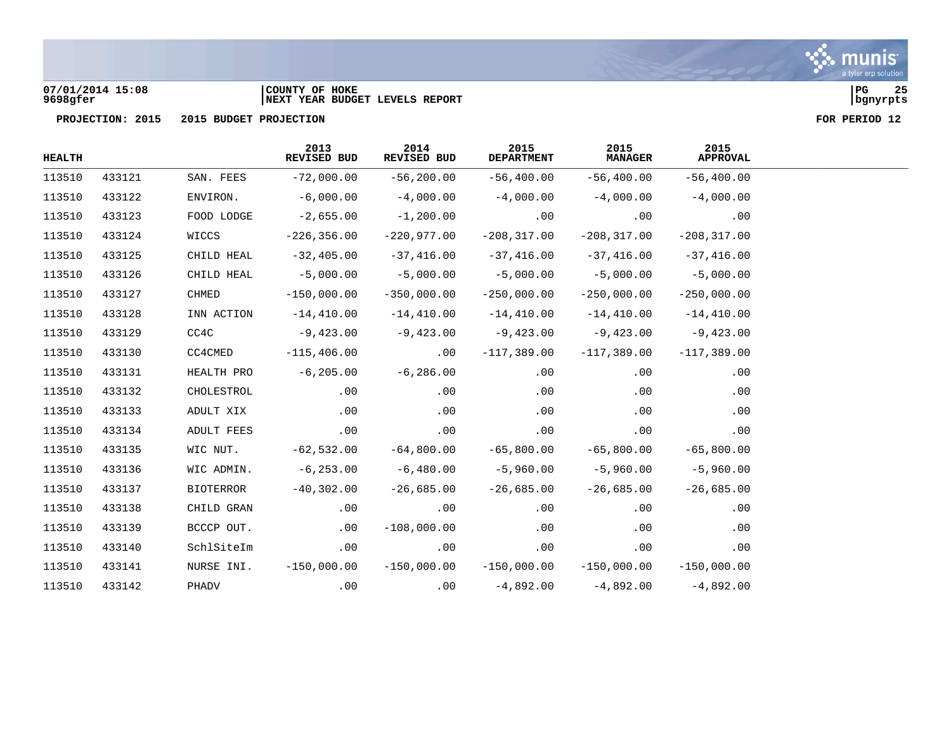

### **07/01/2014 15:08 |COUNTY OF HOKE |PG 25 9698gfer |NEXT YEAR BUDGET LEVELS REPORT |bgnyrpts**

| <b>HEALTH</b> |        |            | 2013<br>REVISED BUD | 2014<br>REVISED BUD | 2015<br><b>DEPARTMENT</b> | 2015<br><b>MANAGER</b> | 2015<br><b>APPROVAL</b> |
|---------------|--------|------------|---------------------|---------------------|---------------------------|------------------------|-------------------------|
| 113510        | 433121 | SAN. FEES  | $-72,000.00$        | $-56, 200.00$       | $-56,400.00$              | $-56,400.00$           | $-56,400.00$            |
| 113510        | 433122 | ENVIRON.   | $-6,000.00$         | $-4,000.00$         | $-4,000.00$               | $-4,000.00$            | $-4,000.00$             |
| 113510        | 433123 | FOOD LODGE | $-2,655.00$         | $-1,200.00$         | .00                       | .00                    | .00                     |
| 113510        | 433124 | WICCS      | $-226, 356.00$      | $-220,977.00$       | $-208, 317.00$            | $-208, 317.00$         | $-208, 317.00$          |
| 113510        | 433125 | CHILD HEAL | $-32,405.00$        | $-37,416.00$        | $-37,416.00$              | $-37,416.00$           | $-37,416.00$            |
| 113510        | 433126 | CHILD HEAL | $-5,000.00$         | $-5,000.00$         | $-5,000.00$               | $-5,000.00$            | $-5,000.00$             |
| 113510        | 433127 | CHMED      | $-150,000.00$       | $-350,000.00$       | $-250,000.00$             | $-250,000.00$          | $-250,000.00$           |
| 113510        | 433128 | INN ACTION | $-14,410.00$        | $-14,410.00$        | $-14,410.00$              | $-14,410.00$           | $-14,410.00$            |
| 113510        | 433129 | CC4C       | -9,423.00           | -9,423.00           | $-9,423.00$               | $-9,423.00$            | $-9,423.00$             |
| 113510        | 433130 | CC4CMED    | $-115,406.00$       | .00                 | $-117,389.00$             | $-117,389.00$          | $-117,389.00$           |
| 113510        | 433131 | HEALTH PRO | $-6, 205.00$        | $-6,286.00$         | .00                       | $.00 \,$               | .00                     |
| 113510        | 433132 | CHOLESTROL | .00                 | .00                 | .00                       | .00                    | .00                     |
| 113510        | 433133 | ADULT XIX  | .00                 | .00                 | .00                       | .00                    | .00                     |
| 113510        | 433134 | ADULT FEES | .00                 | .00                 | .00                       | .00                    | .00                     |
| 113510        | 433135 | WIC NUT.   | $-62,532.00$        | $-64,800.00$        | $-65,800.00$              | $-65,800.00$           | $-65,800.00$            |
| 113510        | 433136 | WIC ADMIN. | $-6,253.00$         | $-6,480.00$         | $-5,960.00$               | $-5,960.00$            | $-5,960.00$             |
| 113510        | 433137 | BIOTERROR  | $-40,302.00$        | $-26,685.00$        | $-26,685.00$              | $-26,685.00$           | $-26,685.00$            |
| 113510        | 433138 | CHILD GRAN | .00                 | .00                 | .00                       | .00                    | .00                     |
| 113510        | 433139 | BCCCP OUT. | .00                 | $-108,000.00$       | .00                       | .00                    | .00                     |
| 113510        | 433140 | SchlSiteIm | .00                 | .00                 | .00                       | .00                    | .00                     |
| 113510        | 433141 | NURSE INI. | $-150,000.00$       | $-150,000.00$       | $-150,000.00$             | $-150$ ,000.00         | $-150,000.00$           |
| 113510        | 433142 | PHADV      | .00                 | .00                 | $-4,892.00$               | $-4,892.00$            | $-4,892.00$             |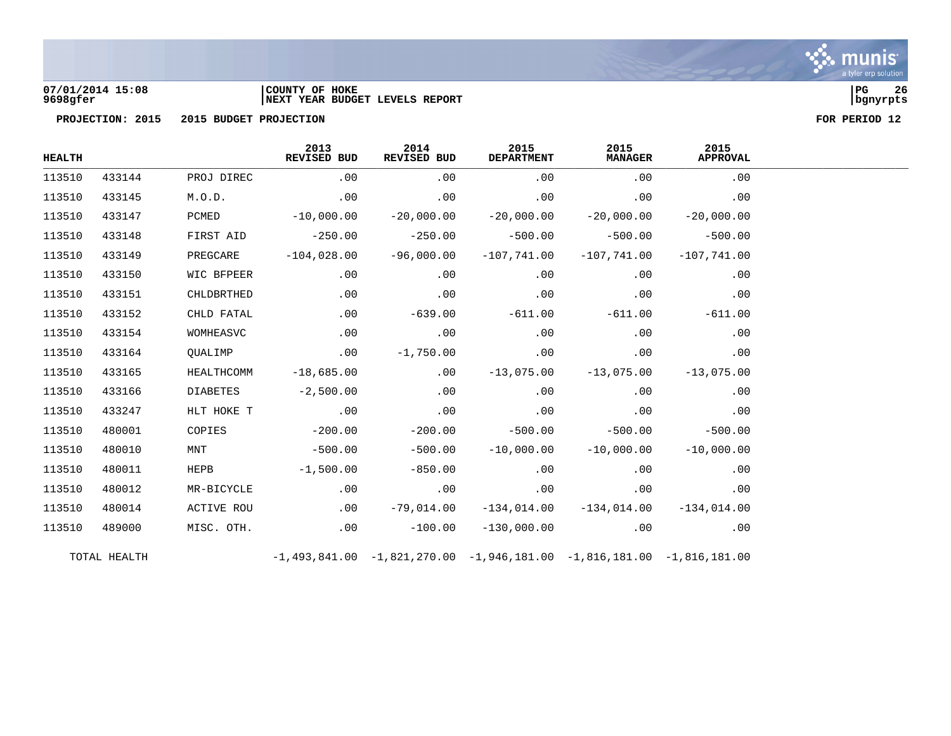

### **07/01/2014 15:08 |COUNTY OF HOKE |PG 26 9698gfer |NEXT YEAR BUDGET LEVELS REPORT |bgnyrpts**

| <b>HEALTH</b> |              |                   | 2013<br>REVISED BUD | 2014<br>REVISED BUD | 2015<br><b>DEPARTMENT</b> | 2015<br><b>MANAGER</b>                                                          | 2015<br><b>APPROVAL</b> |
|---------------|--------------|-------------------|---------------------|---------------------|---------------------------|---------------------------------------------------------------------------------|-------------------------|
| 113510        | 433144       | PROJ DIREC        | .00                 | .00                 | .00                       | .00                                                                             | .00                     |
| 113510        | 433145       | M.O.D.            | .00                 | .00                 | .00                       | .00                                                                             | .00                     |
| 113510        | 433147       | PCMED             | $-10,000.00$        | $-20,000.00$        | $-20,000.00$              | $-20,000.00$                                                                    | $-20,000.00$            |
| 113510        | 433148       | FIRST AID         | $-250.00$           | $-250.00$           | $-500.00$                 | $-500.00$                                                                       | $-500.00$               |
| 113510        | 433149       | PREGCARE          | $-104,028.00$       | $-96,000.00$        | $-107,741.00$             | $-107,741.00$                                                                   | $-107,741.00$           |
| 113510        | 433150       | WIC BFPEER        | .00                 | .00                 | .00                       | .00                                                                             | .00                     |
| 113510        | 433151       | CHLDBRTHED        | .00                 | .00                 | .00                       | .00                                                                             | .00                     |
| 113510        | 433152       | CHLD FATAL        | .00                 | $-639.00$           | $-611.00$                 | $-611.00$                                                                       | $-611.00$               |
| 113510        | 433154       | WOMHEASVC         | .00                 | .00                 | .00                       | .00                                                                             | .00                     |
| 113510        | 433164       | QUALIMP           | .00                 | $-1,750.00$         | .00                       | .00                                                                             | .00                     |
| 113510        | 433165       | HEALTHCOMM        | $-18,685.00$        | .00                 | $-13,075.00$              | $-13,075.00$                                                                    | $-13,075.00$            |
| 113510        | 433166       | DIABETES          | $-2,500.00$         | .00                 | .00                       | .00                                                                             | .00                     |
| 113510        | 433247       | HLT HOKE T        | .00                 | .00                 | .00                       | .00                                                                             | .00                     |
| 113510        | 480001       | COPIES            | $-200.00$           | $-200.00$           | $-500.00$                 | $-500.00$                                                                       | $-500.00$               |
| 113510        | 480010       | MNT               | $-500.00$           | $-500.00$           | $-10,000.00$              | $-10,000.00$                                                                    | $-10,000,00$            |
| 113510        | 480011       | HEPB              | $-1,500.00$         | $-850.00$           | .00                       | .00                                                                             | .00                     |
| 113510        | 480012       | MR-BICYCLE        | .00                 | .00                 | .00                       | .00                                                                             | .00                     |
| 113510        | 480014       | <b>ACTIVE ROU</b> | .00                 | $-79,014.00$        | $-134,014.00$             | $-134,014.00$                                                                   | $-134,014.00$           |
| 113510        | 489000       | MISC. OTH.        | .00                 | $-100.00$           | $-130,000.00$             | .00                                                                             | .00                     |
|               | TOTAL HEALTH |                   |                     |                     |                           | $-1,493,841.00$ $-1,821,270.00$ $-1,946,181.00$ $-1,816,181.00$ $-1,816,181.00$ |                         |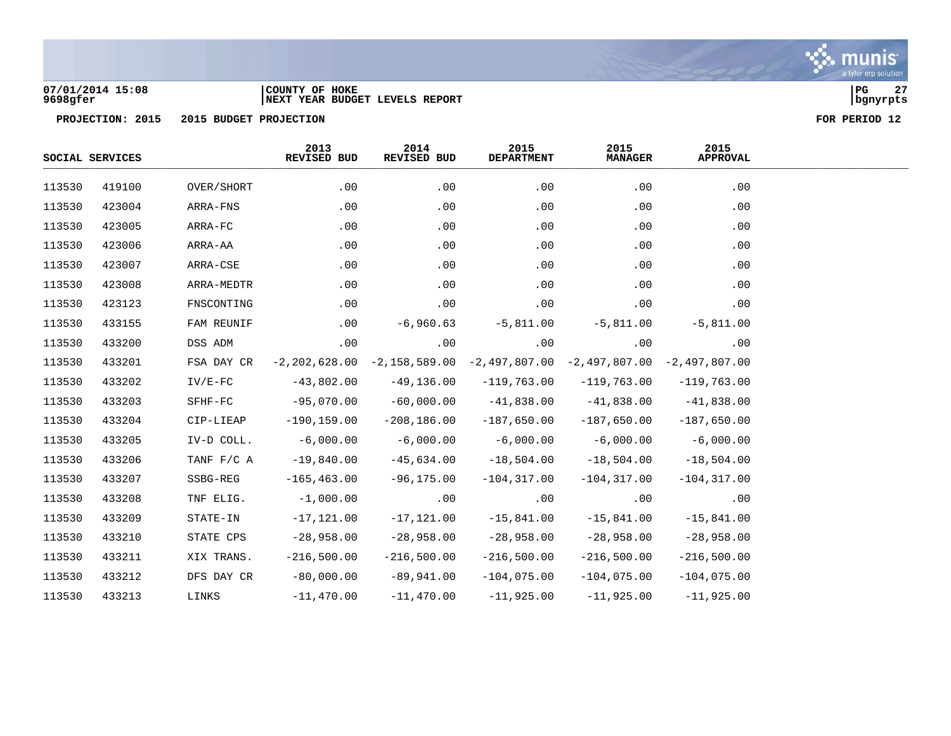

### **07/01/2014 15:08 |COUNTY OF HOKE |PG 27 9698gfer |NEXT YEAR BUDGET LEVELS REPORT |bgnyrpts**

|        | SOCIAL SERVICES |                          | 2013<br>REVISED BUD | 2014<br>REVISED BUD | 2015<br><b>DEPARTMENT</b>                                                       | 2015<br><b>MANAGER</b> | 2015<br><b>APPROVAL</b> |
|--------|-----------------|--------------------------|---------------------|---------------------|---------------------------------------------------------------------------------|------------------------|-------------------------|
| 113530 | 419100          | OVER/SHORT               | .00                 | .00                 | .00                                                                             | .00                    | .00                     |
| 113530 | 423004          | ARRA-FNS                 | .00                 | .00                 | .00                                                                             | .00                    | .00                     |
| 113530 | 423005          | ARRA-FC                  | .00                 | .00                 | .00                                                                             | .00                    | .00                     |
| 113530 | 423006          | ARRA-AA                  | .00                 | .00                 | .00                                                                             | .00                    | .00                     |
| 113530 | 423007          | ARRA-CSE                 | .00                 | .00                 | .00                                                                             | .00                    | .00                     |
| 113530 | 423008          | ARRA-MEDTR               | .00                 | .00                 | .00                                                                             | .00                    | .00                     |
| 113530 | 423123          | FNSCONTING               | .00                 | .00                 | .00                                                                             | .00                    | .00                     |
| 113530 | 433155          | FAM REUNIF               | .00                 | $-6,960.63$         | $-5,811.00$                                                                     | $-5,811.00$            | $-5,811.00$             |
| 113530 | 433200          | DSS ADM                  | .00                 | .00                 | .00                                                                             | .00                    | .00                     |
| 113530 | 433201          | FSA DAY CR               |                     |                     | $-2,202,628.00$ $-2,158,589.00$ $-2,497,807.00$ $-2,497,807.00$ $-2,497,807.00$ |                        |                         |
| 113530 | 433202          | $IV/E-FC$                | $-43,802.00$        | $-49,136.00$        | $-119,763.00$                                                                   | $-119,763.00$          | $-119,763.00$           |
| 113530 | 433203          | $\operatorname{SFHF-FC}$ | $-95,070.00$        | $-60,000.00$        | $-41,838.00$                                                                    | $-41,838.00$           | $-41,838.00$            |
| 113530 | 433204          | CIP-LIEAP                | $-190, 159.00$      | $-208, 186.00$      | $-187,650.00$                                                                   | $-187,650.00$          | $-187,650.00$           |
| 113530 | 433205          | IV-D COLL.               | $-6,000.00$         | $-6,000.00$         | $-6,000.00$                                                                     | $-6,000.00$            | $-6,000.00$             |
| 113530 | 433206          | TANF F/C A               | $-19,840.00$        | $-45,634.00$        | $-18,504.00$                                                                    | $-18,504.00$           | $-18,504.00$            |
| 113530 | 433207          | SSBG-REG                 | $-165, 463.00$      | $-96, 175.00$       | $-104, 317.00$                                                                  | $-104, 317.00$         | $-104, 317.00$          |
| 113530 | 433208          | TNF ELIG.                | $-1,000.00$         | .00                 | .00                                                                             | .00                    | .00                     |
| 113530 | 433209          | STATE-IN                 | $-17,121.00$        | $-17,121.00$        | $-15,841.00$                                                                    | $-15,841.00$           | $-15,841.00$            |
| 113530 | 433210          | STATE CPS                | $-28,958.00$        | $-28,958.00$        | $-28,958.00$                                                                    | $-28,958.00$           | $-28,958.00$            |
| 113530 | 433211          | XIX TRANS.               | $-216,500.00$       | $-216,500.00$       | $-216,500.00$                                                                   | $-216,500.00$          | $-216,500.00$           |
| 113530 | 433212          | DFS DAY CR               | $-80,000.00$        | $-89,941.00$        | $-104,075.00$                                                                   | $-104,075.00$          | $-104,075.00$           |
| 113530 | 433213          | LINKS                    | $-11,470.00$        | $-11,470.00$        | $-11,925.00$                                                                    | $-11,925.00$           | $-11,925.00$            |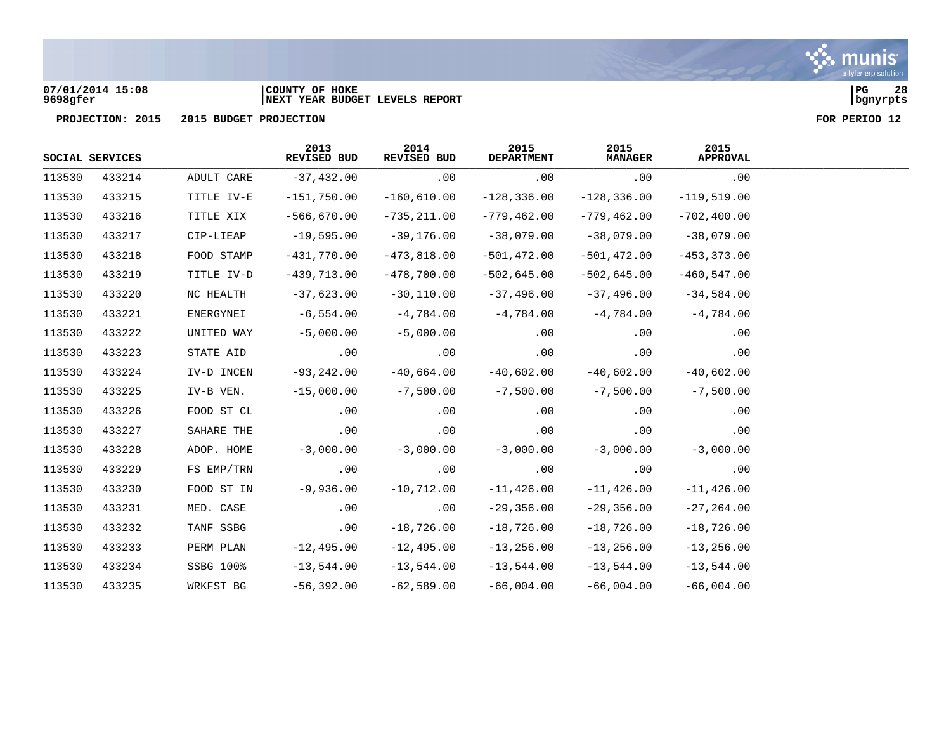

### **07/01/2014 15:08 |COUNTY OF HOKE |PG 28 9698gfer |NEXT YEAR BUDGET LEVELS REPORT |bgnyrpts**

|        | SOCIAL SERVICES |            | 2013<br>REVISED BUD | 2014<br>REVISED BUD | 2015<br><b>DEPARTMENT</b> | 2015<br><b>MANAGER</b> | 2015<br><b>APPROVAL</b> |
|--------|-----------------|------------|---------------------|---------------------|---------------------------|------------------------|-------------------------|
| 113530 | 433214          | ADULT CARE | $-37,432.00$        | .00                 | .00                       | .00                    | .00                     |
| 113530 | 433215          | TITLE IV-E | $-151,750.00$       | $-160,610.00$       | $-128, 336.00$            | $-128, 336.00$         | $-119,519.00$           |
| 113530 | 433216          | TITLE XIX  | $-566,670.00$       | $-735, 211.00$      | $-779,462.00$             | $-779, 462.00$         | $-702, 400.00$          |
| 113530 | 433217          | CIP-LIEAP  | $-19,595.00$        | $-39,176.00$        | $-38,079.00$              | $-38,079.00$           | $-38,079.00$            |
| 113530 | 433218          | FOOD STAMP | $-431,770.00$       | $-473,818.00$       | $-501, 472.00$            | $-501, 472.00$         | $-453, 373.00$          |
| 113530 | 433219          | TITLE IV-D | $-439,713.00$       | $-478,700.00$       | $-502,645.00$             | $-502,645.00$          | $-460, 547.00$          |
| 113530 | 433220          | NC HEALTH  | $-37,623.00$        | $-30,110.00$        | $-37,496.00$              | $-37,496.00$           | $-34,584.00$            |
| 113530 | 433221          | ENERGYNEI  | $-6,554.00$         | -4,784.00           | $-4,784.00$               | $-4,784.00$            | $-4,784.00$             |
| 113530 | 433222          | UNITED WAY | $-5,000.00$         | $-5,000.00$         | .00                       | .00                    | .00                     |
| 113530 | 433223          | STATE AID  | .00                 | .00                 | .00                       | .00                    | .00                     |
| 113530 | 433224          | IV-D INCEN | $-93, 242.00$       | $-40,664.00$        | $-40,602.00$              | $-40,602.00$           | $-40,602.00$            |
| 113530 | 433225          | IV-B VEN.  | $-15,000.00$        | $-7,500.00$         | $-7,500.00$               | $-7,500.00$            | $-7,500.00$             |
| 113530 | 433226          | FOOD ST CL | .00                 | .00                 | .00                       | .00                    | .00                     |
| 113530 | 433227          | SAHARE THE | .00                 | .00                 | .00                       | .00                    | .00                     |
| 113530 | 433228          | ADOP. HOME | $-3,000.00$         | $-3,000.00$         | $-3,000.00$               | $-3,000.00$            | $-3,000.00$             |
| 113530 | 433229          | FS EMP/TRN | $.00 \,$            | .00                 | .00                       | .00                    | .00                     |
| 113530 | 433230          | FOOD ST IN | $-9,936.00$         | $-10,712.00$        | $-11,426.00$              | $-11, 426.00$          | $-11,426.00$            |
| 113530 | 433231          | MED. CASE  | .00                 | .00                 | $-29,356.00$              | $-29,356.00$           | $-27, 264.00$           |
| 113530 | 433232          | TANF SSBG  | .00                 | $-18,726.00$        | $-18,726.00$              | $-18,726.00$           | $-18,726.00$            |
| 113530 | 433233          | PERM PLAN  | $-12,495.00$        | $-12, 495.00$       | $-13, 256.00$             | $-13, 256.00$          | $-13, 256.00$           |
| 113530 | 433234          | SSBG 100%  | $-13,544.00$        | $-13,544.00$        | $-13,544.00$              | $-13,544.00$           | $-13,544.00$            |
| 113530 | 433235          | WRKFST BG  | $-56,392.00$        | $-62,589.00$        | $-66,004.00$              | $-66,004.00$           | $-66,004.00$            |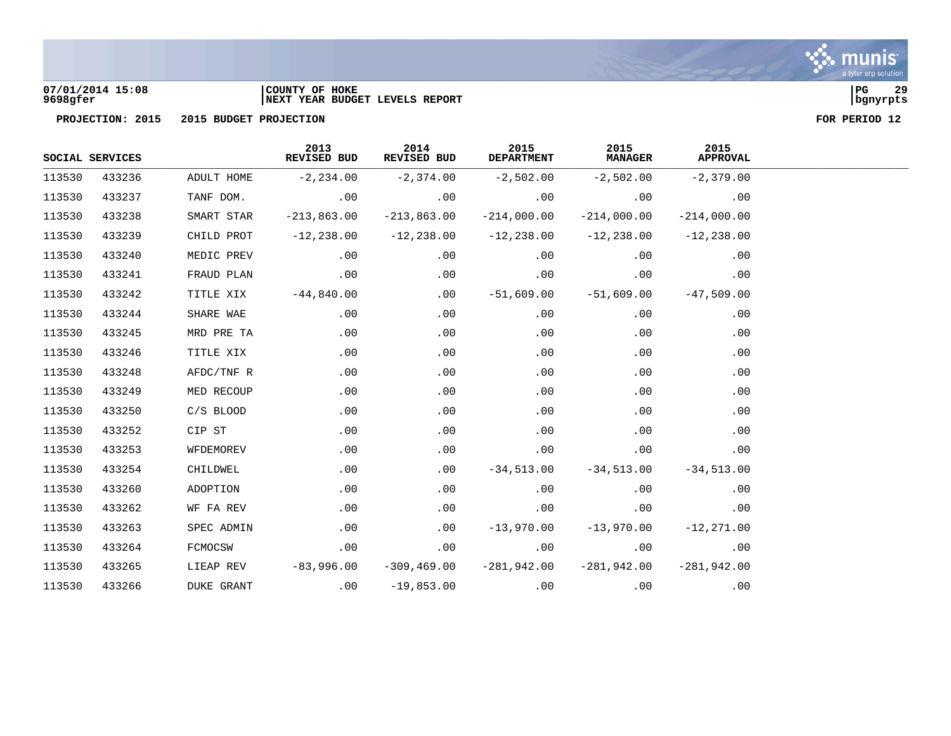

### **07/01/2014 15:08 |COUNTY OF HOKE |PG 29 9698gfer |NEXT YEAR BUDGET LEVELS REPORT |bgnyrpts**

|        | SOCIAL SERVICES |                   | 2013<br>REVISED BUD | 2014<br>REVISED BUD | 2015<br><b>DEPARTMENT</b> | 2015<br><b>MANAGER</b> | 2015<br><b>APPROVAL</b> |
|--------|-----------------|-------------------|---------------------|---------------------|---------------------------|------------------------|-------------------------|
| 113530 | 433236          | ADULT HOME        | $-2, 234.00$        | $-2,374.00$         | $-2,502.00$               | $-2,502.00$            | $-2,379.00$             |
| 113530 | 433237          | TANF DOM.         | .00                 | .00                 | .00                       | .00                    | .00                     |
| 113530 | 433238          | SMART STAR        | $-213,863.00$       | $-213,863.00$       | $-214,000.00$             | $-214,000.00$          | $-214,000.00$           |
| 113530 | 433239          | CHILD PROT        | $-12, 238.00$       | $-12,238.00$        | $-12,238.00$              | $-12,238.00$           | $-12, 238.00$           |
| 113530 | 433240          | MEDIC PREV        | .00                 | .00                 | .00                       | .00                    | .00                     |
| 113530 | 433241          | FRAUD PLAN        | .00                 | .00                 | .00                       | .00                    | .00                     |
| 113530 | 433242          | TITLE XIX         | $-44,840.00$        | .00                 | -51,609.00                | $-51,609.00$           | $-47,509.00$            |
| 113530 | 433244          | SHARE WAE         | .00                 | .00                 | .00                       | .00                    | .00                     |
| 113530 | 433245          | MRD PRE TA        | .00                 | .00                 | .00                       | .00                    | .00                     |
| 113530 | 433246          | TITLE XIX         | .00                 | .00                 | .00                       | .00                    | .00                     |
| 113530 | 433248          | AFDC/TNF R        | .00                 | .00                 | .00                       | .00                    | .00                     |
| 113530 | 433249          | MED RECOUP        | .00                 | .00                 | .00                       | .00                    | .00                     |
| 113530 | 433250          | $C/S$ BLOOD       | .00                 | .00                 | .00                       | .00                    | .00                     |
| 113530 | 433252          | CIP ST            | .00                 | .00                 | .00                       | .00                    | .00                     |
| 113530 | 433253          | WFDEMOREV         | .00                 | .00                 | .00                       | .00                    | .00                     |
| 113530 | 433254          | CHILDWEL          | .00                 | $.00 \,$            | $-34,513.00$              | $-34,513.00$           | $-34,513.00$            |
| 113530 | 433260          | ADOPTION          | .00                 | .00                 | .00                       | .00                    | .00                     |
| 113530 | 433262          | WF FA REV         | .00                 | .00                 | .00                       | .00                    | .00                     |
| 113530 | 433263          | SPEC ADMIN        | .00                 | $.00 \,$            | $-13,970.00$              | $-13,970.00$           | $-12, 271.00$           |
| 113530 | 433264          | FCMOCSW           | .00                 | .00                 | .00                       | .00                    | .00                     |
| 113530 | 433265          | LIEAP REV         | $-83,996.00$        | $-309, 469.00$      | $-281,942.00$             | $-281,942.00$          | $-281,942.00$           |
| 113530 | 433266          | <b>DUKE GRANT</b> | .00                 | $-19,853.00$        | .00                       | .00                    | .00                     |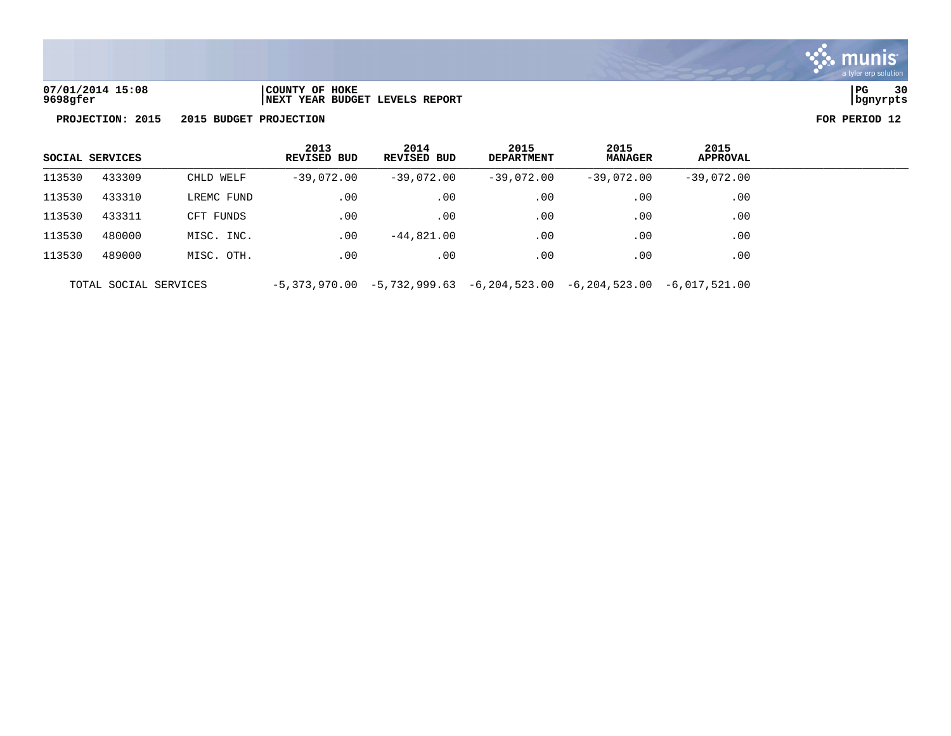

**07/01/2014 15:08 |COUNTY OF HOKE |PG 30 9698gfer |NEXT YEAR BUDGET LEVELS REPORT |bgnyrpts**

|        | SOCIAL SERVICES       |            | 2013<br><b>REVISED BUD</b> | 2014<br><b>REVISED BUD</b> | 2015<br><b>DEPARTMENT</b>                                                       | 2015<br><b>MANAGER</b> | 2015<br><b>APPROVAL</b> |  |
|--------|-----------------------|------------|----------------------------|----------------------------|---------------------------------------------------------------------------------|------------------------|-------------------------|--|
| 113530 | 433309                | CHLD WELF  | $-39,072.00$               | $-39,072.00$               | $-39,072.00$                                                                    | $-39.072.00$           | $-39.072.00$            |  |
| 113530 | 433310                | LREMC FUND | $.00 \,$                   | .00                        | .00                                                                             | .00                    | $.00 \,$                |  |
| 113530 | 433311                | CFT FUNDS  | .00                        | .00                        | .00                                                                             | .00                    | .00                     |  |
| 113530 | 480000                | MISC. INC. | $.00 \,$                   | $-44,821.00$               | .00                                                                             | .00                    | $.00 \ \rm$             |  |
| 113530 | 489000                | MISC. OTH. | .00                        | .00                        | .00                                                                             | .00                    | .00                     |  |
|        | TOTAL SOCIAL SERVICES |            |                            |                            | $-5,373,970.00$ $-5,732,999.63$ $-6,204,523.00$ $-6,204,523.00$ $-6,017,521.00$ |                        |                         |  |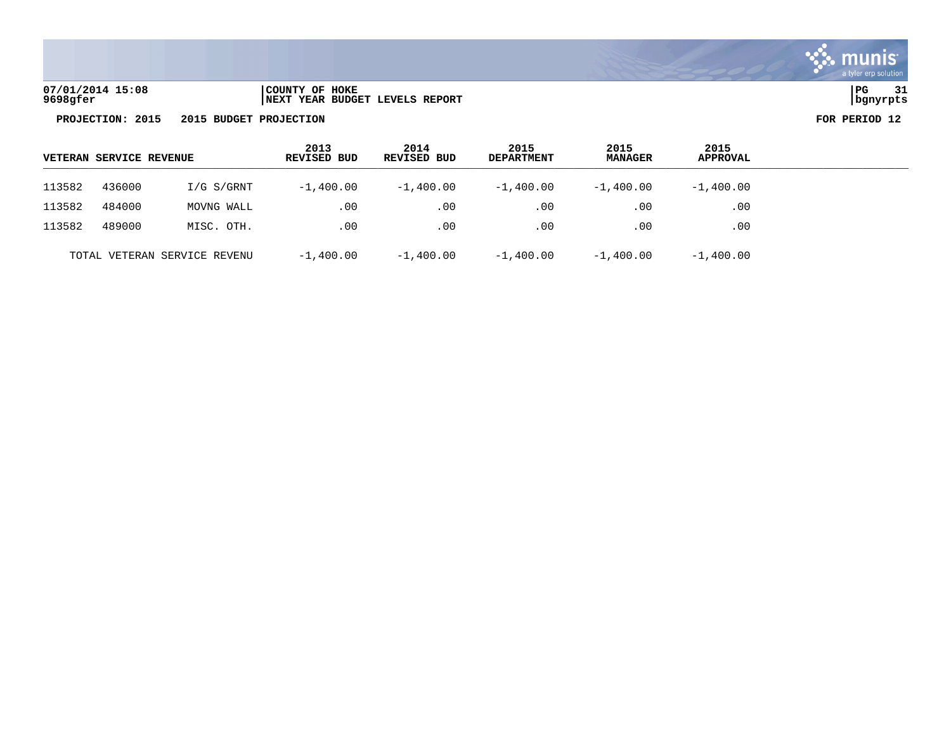

| 07/01/2014 15:08 | COUNTY OF HOKE                  | PG       | $\sim$ |
|------------------|---------------------------------|----------|--------|
| 9698gfer         | INEXT YEAR BUDGET LEVELS REPORT | bqnyrpts |        |

| <b>VETERAN SERVICE REVENUE</b> |        |            | 2013<br>REVISED BUD | 2014<br>REVISED BUD | 2015<br><b>DEPARTMENT</b> | 2015<br><b>MANAGER</b> | 2015<br>APPROVAL |
|--------------------------------|--------|------------|---------------------|---------------------|---------------------------|------------------------|------------------|
| 113582                         | 436000 | I/G S/GRNT | $-1,400.00$         | $-1,400.00$         | $-1,400.00$               | $-1,400.00$            | $-1,400.00$      |
| 113582                         | 484000 | MOVNG WALL | .00                 | .00                 | .00                       | .00                    | .00              |
| 113582                         | 489000 | MISC. OTH. | .00                 | .00                 | .00                       | .00                    | .00              |
| TOTAL VETERAN SERVICE REVENU   |        |            | $-1,400.00$         | $-1,400.00$         | $-1,400.00$               | $-1,400.00$            | $-1,400.00$      |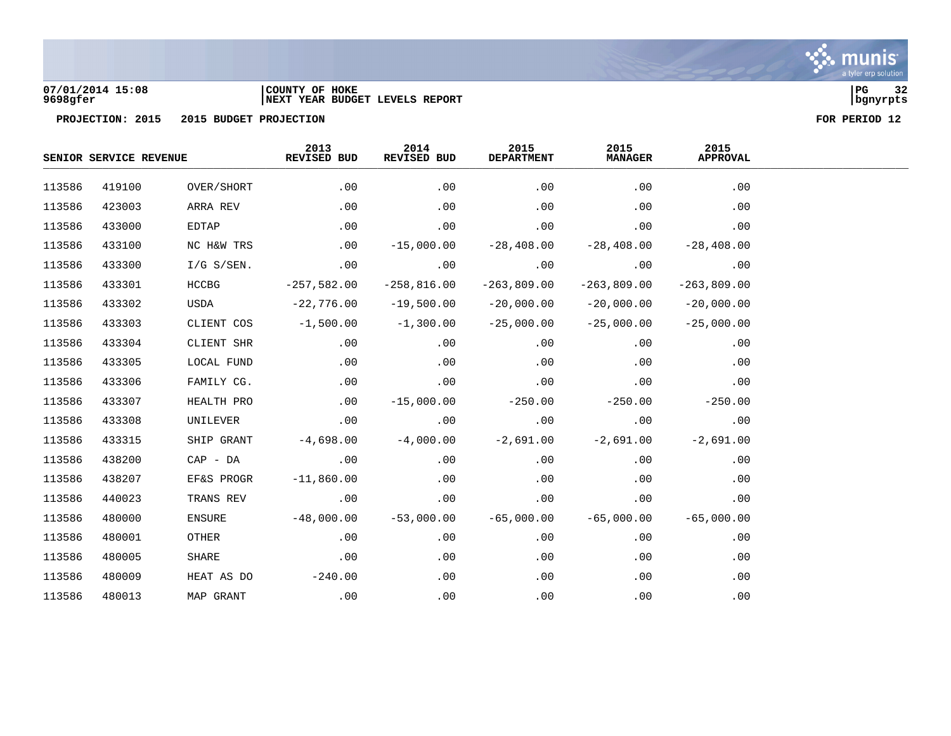

### **07/01/2014 15:08 |COUNTY OF HOKE |PG 32 9698gfer |NEXT YEAR BUDGET LEVELS REPORT |bgnyrpts**

| SENIOR SERVICE REVENUE |        | 2013<br>REVISED BUD | 2014<br>REVISED BUD | 2015<br><b>DEPARTMENT</b> | 2015<br><b>MANAGER</b> | 2015<br><b>APPROVAL</b> |               |  |
|------------------------|--------|---------------------|---------------------|---------------------------|------------------------|-------------------------|---------------|--|
| 113586                 | 419100 | OVER/SHORT          | .00                 | .00                       | .00                    | .00                     | .00           |  |
| 113586                 | 423003 | ARRA REV            | .00                 | .00                       | .00                    | .00                     | .00           |  |
| 113586                 | 433000 | EDTAP               | .00                 | .00                       | .00                    | .00                     | .00           |  |
| 113586                 | 433100 | NC H&W TRS          | .00                 | $-15,000.00$              | $-28,408.00$           | $-28,408.00$            | $-28,408.00$  |  |
| 113586                 | 433300 | $I/G$ S/SEN.        | .00                 | .00                       | .00                    | .00                     | .00           |  |
| 113586                 | 433301 | <b>HCCBG</b>        | $-257,582.00$       | $-258,816.00$             | $-263,809.00$          | $-263,809.00$           | $-263,809.00$ |  |
| 113586                 | 433302 | USDA                | $-22,776.00$        | $-19,500.00$              | $-20,000.00$           | $-20,000.00$            | $-20,000.00$  |  |
| 113586                 | 433303 | CLIENT COS          | $-1,500.00$         | $-1,300.00$               | $-25,000.00$           | $-25,000.00$            | $-25,000.00$  |  |
| 113586                 | 433304 | CLIENT SHR          | $.00 \,$            | .00                       | .00                    | .00                     | .00           |  |
| 113586                 | 433305 | LOCAL FUND          | .00                 | .00                       | .00                    | .00                     | .00           |  |
| 113586                 | 433306 | FAMILY CG.          | .00                 | .00                       | .00                    | .00                     | .00           |  |
| 113586                 | 433307 | HEALTH PRO          | .00                 | $-15,000.00$              | $-250.00$              | $-250.00$               | $-250.00$     |  |
| 113586                 | 433308 | UNILEVER            | .00                 | .00                       | .00                    | .00                     | .00           |  |
| 113586                 | 433315 | SHIP GRANT          | $-4,698.00$         | $-4,000.00$               | $-2,691.00$            | $-2,691.00$             | $-2,691.00$   |  |
| 113586                 | 438200 | CAP - DA            | .00                 | .00                       | .00                    | .00                     | .00           |  |
| 113586                 | 438207 | EF&S PROGR          | $-11,860.00$        | .00                       | .00                    | .00                     | .00           |  |
| 113586                 | 440023 | TRANS REV           | .00                 | .00                       | .00                    | .00                     | .00           |  |
| 113586                 | 480000 | ENSURE              | $-48,000.00$        | $-53,000.00$              | $-65,000.00$           | $-65,000.00$            | $-65,000.00$  |  |
| 113586                 | 480001 | OTHER               | .00                 | .00                       | .00                    | .00                     | .00           |  |
| 113586                 | 480005 | SHARE               | .00                 | .00                       | .00                    | .00                     | .00           |  |
| 113586                 | 480009 | HEAT AS DO          | $-240.00$           | .00                       | .00                    | .00                     | .00           |  |
| 113586                 | 480013 | MAP GRANT           | .00                 | .00                       | .00                    | .00                     | .00           |  |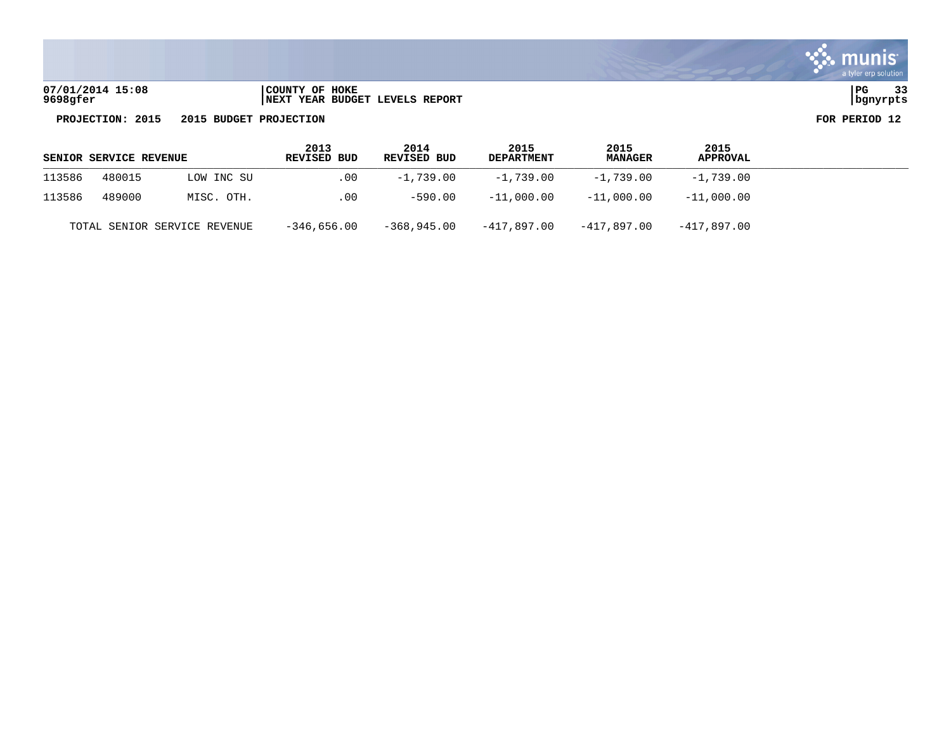| 07/01/2014 15:08 | COUNTY OF HOKE                       | PG       | $\sim$ $\sim$ |
|------------------|--------------------------------------|----------|---------------|
| 9698gfer         | 'YEAR BUDGET LEVELS REPORT<br>  NEXT | banvrpts |               |

| muni<br>a tyler erp solution |
|------------------------------|
|                              |

| <b>SENIOR SERVICE REVENUE</b> |        |                              | 2013<br><b>REVISED BUD</b> | 2014<br><b>REVISED BUD</b> | 2015<br><b>DEPARTMENT</b> | 2015<br><b>MANAGER</b> | 2015<br>APPROVAL |
|-------------------------------|--------|------------------------------|----------------------------|----------------------------|---------------------------|------------------------|------------------|
| 113586                        | 480015 | LOW INC SU                   | $.00 \,$                   | $-1.739.00$                | -1,739.00                 | -1,739.00              | -1,739.00        |
| 113586                        | 489000 | MISC. OTH.                   | .00                        | $-590.00$                  | $-11,000.00$              | $-11.000.00$           | $-11,000.00$     |
|                               |        | TOTAL SENIOR SERVICE REVENUE | $-346,656.00$              | $-368.945.00$              | -417,897.00               | -417.897.00            | -417,897.00      |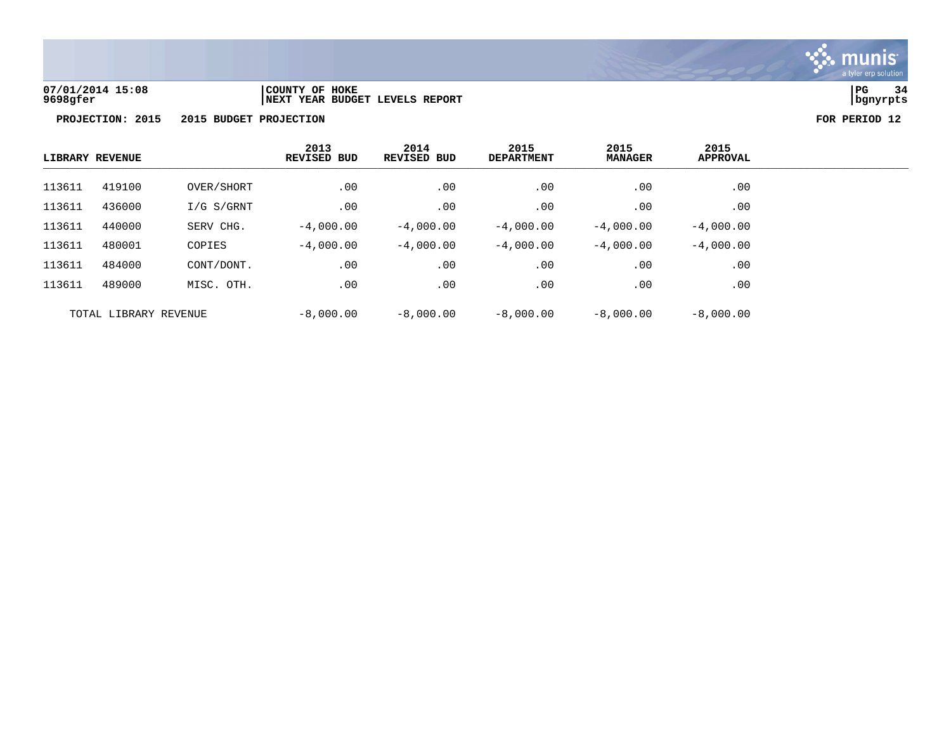

### **07/01/2014 15:08 |COUNTY OF HOKE |PG 34 9698gfer |NEXT YEAR BUDGET LEVELS REPORT |bgnyrpts**

|                       | LIBRARY REVENUE |              | 2013<br><b>REVISED BUD</b> | 2014<br><b>REVISED BUD</b> | 2015<br><b>DEPARTMENT</b> | 2015<br><b>MANAGER</b> | 2015<br><b>APPROVAL</b> |
|-----------------------|-----------------|--------------|----------------------------|----------------------------|---------------------------|------------------------|-------------------------|
| 113611                | 419100          | OVER/SHORT   | .00                        | .00                        | .00                       | .00                    | .00                     |
| 113611                | 436000          | $I/G$ S/GRNT | .00                        | .00                        | .00                       | .00                    | .00                     |
| 113611                | 440000          | SERV CHG.    | $-4,000.00$                | $-4,000.00$                | $-4,000.00$               | $-4,000.00$            | $-4,000.00$             |
| 113611                | 480001          | COPIES       | $-4,000.00$                | $-4,000,00$                | $-4,000.00$               | $-4,000.00$            | $-4,000.00$             |
| 113611                | 484000          | CONT/DONT.   | .00                        | .00                        | .00                       | .00                    | .00                     |
| 113611                | 489000          | MISC. OTH.   | .00                        | .00                        | .00                       | .00                    | .00                     |
| TOTAL LIBRARY REVENUE |                 |              | $-8,000.00$                | $-8,000.00$                | $-8,000.00$               | $-8,000.00$            | $-8,000.00$             |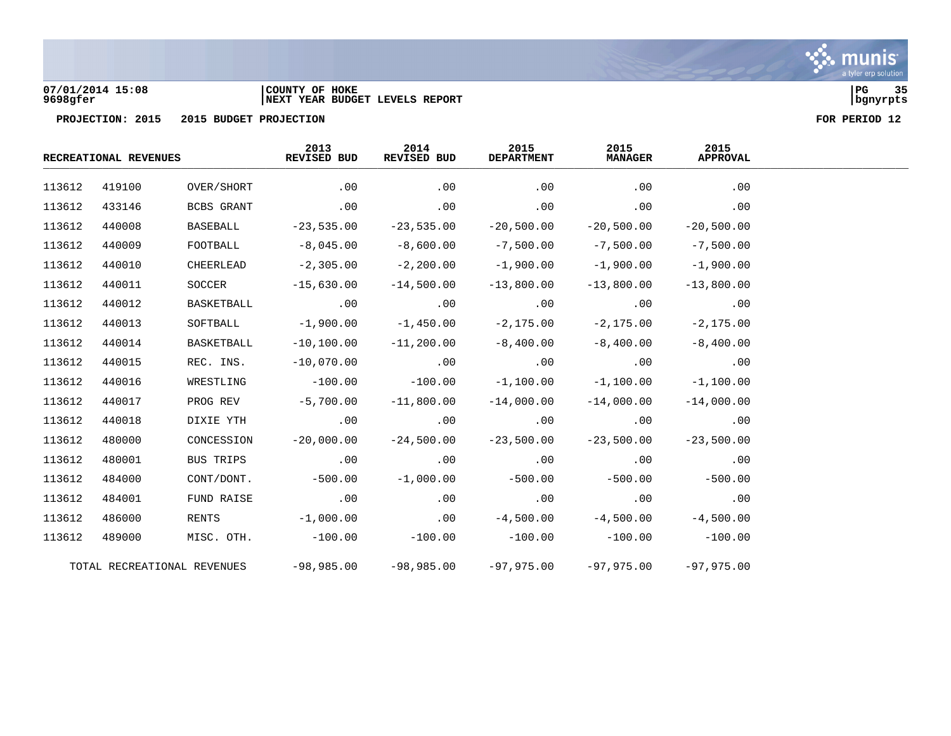

**07/01/2014 15:08 |COUNTY OF HOKE |PG 35 9698gfer |NEXT YEAR BUDGET LEVELS REPORT |bgnyrpts**

|        | RECREATIONAL REVENUES |                             | 2013<br>REVISED BUD | 2014<br>REVISED BUD | 2015<br><b>DEPARTMENT</b> | 2015<br><b>MANAGER</b> | 2015<br><b>APPROVAL</b> |  |  |
|--------|-----------------------|-----------------------------|---------------------|---------------------|---------------------------|------------------------|-------------------------|--|--|
| 113612 | 419100                | OVER/SHORT                  | .00                 | .00                 | .00                       | .00                    | .00                     |  |  |
| 113612 | 433146                | BCBS GRANT                  | .00                 | .00                 | .00                       | .00                    | .00                     |  |  |
| 113612 | 440008                | BASEBALL                    | $-23,535.00$        | $-23,535.00$        | $-20,500.00$              | $-20,500.00$           | $-20,500.00$            |  |  |
| 113612 | 440009                | FOOTBALL                    | $-8,045.00$         | $-8,600.00$         | $-7,500.00$               | $-7,500.00$            | $-7,500.00$             |  |  |
| 113612 | 440010                | CHEERLEAD                   | $-2,305.00$         | $-2,200.00$         | $-1,900.00$               | $-1,900.00$            | $-1,900.00$             |  |  |
| 113612 | 440011                | SOCCER                      | $-15,630.00$        | $-14,500.00$        | $-13,800.00$              | $-13,800.00$           | $-13,800.00$            |  |  |
| 113612 | 440012                | BASKETBALL                  | .00                 | .00                 | .00                       | .00                    | .00                     |  |  |
| 113612 | 440013                | SOFTBALL                    | $-1,900.00$         | $-1,450.00$         | $-2, 175.00$              | $-2,175.00$            | $-2, 175.00$            |  |  |
| 113612 | 440014                | BASKETBALL                  | $-10, 100.00$       | $-11,200.00$        | $-8,400.00$               | $-8,400.00$            | $-8,400.00$             |  |  |
| 113612 | 440015                | REC. INS.                   | $-10,070.00$        | .00                 | .00                       | .00                    | .00                     |  |  |
| 113612 | 440016                | WRESTLING                   | $-100.00$           | $-100.00$           | $-1,100.00$               | $-1,100.00$            | $-1,100.00$             |  |  |
| 113612 | 440017                | PROG REV                    | $-5,700.00$         | $-11,800.00$        | $-14,000.00$              | $-14,000.00$           | $-14,000.00$            |  |  |
| 113612 | 440018                | DIXIE YTH                   | .00                 | .00                 | .00                       | .00                    | .00                     |  |  |
| 113612 | 480000                | CONCESSION                  | $-20,000.00$        | $-24,500.00$        | $-23,500.00$              | $-23,500.00$           | $-23,500.00$            |  |  |
| 113612 | 480001                | BUS TRIPS                   | .00                 | .00                 | .00                       | .00                    | .00                     |  |  |
| 113612 | 484000                | CONT/DONT.                  | $-500.00$           | $-1,000.00$         | $-500.00$                 | $-500.00$              | $-500.00$               |  |  |
| 113612 | 484001                | FUND RAISE                  | .00                 | .00                 | .00                       | .00                    | .00                     |  |  |
| 113612 | 486000                | <b>RENTS</b>                | $-1,000.00$         | .00                 | $-4,500.00$               | $-4,500.00$            | $-4,500.00$             |  |  |
| 113612 | 489000                |                             | MISC. OTH. -100.00  |                     | $-100.00$ $-100.00$       | $-100.00$              | $-100.00$               |  |  |
|        |                       | TOTAL RECREATIONAL REVENUES | $-98,985.00$        |                     | $-98,985.00$ $-97,975.00$ | $-97,975,00$           | $-97,975,00$            |  |  |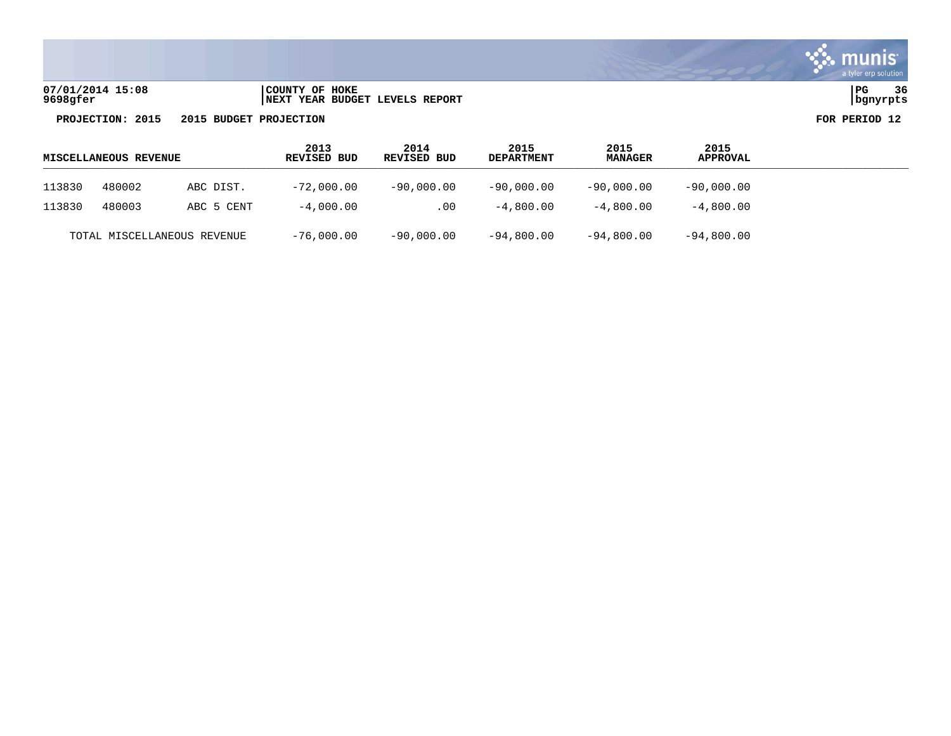

| 07/01/2014 15:08 | COUNTY OF HOKE                  | PG       | 36 |
|------------------|---------------------------------|----------|----|
| 9698gfer         | INEXT YEAR BUDGET LEVELS REPORT | bqnyrpts |    |

| 770172019 13:00  | LUUNII UP AUNA                         | ، ت           |
|------------------|----------------------------------------|---------------|
| <b>598gfer</b>   | <b>INEXT YEAR BUDGET LEVELS REPORT</b> | bgnyrpts      |
| PROJECTION: 2015 | 2015 BUDGET PROJECTION                 | FOR PERIOD 12 |

|        | <b>MISCELLANEOUS REVENUE</b> |                             | 2013<br><b>REVISED BUD</b> | 2014<br>REVISED BUD | 2015<br><b>DEPARTMENT</b> | 2015<br><b>MANAGER</b> | 2015<br><b>APPROVAL</b> |
|--------|------------------------------|-----------------------------|----------------------------|---------------------|---------------------------|------------------------|-------------------------|
| 113830 | 480002                       | ABC DIST.                   | $-72,000.00$               | $-90,000.00$        | $-90,000.00$              | $-90,000.00$           | $-90,000.00$            |
| 113830 | 480003                       | ABC 5 CENT                  | $-4.000.00$                | .00                 | $-4,800.00$               | $-4.800.00$            | $-4,800.00$             |
|        |                              | TOTAL MISCELLANEOUS REVENUE | $-76,000.00$               | $-90,000.00$        | $-94,800.00$              | $-94,800.00$           | $-94,800.00$            |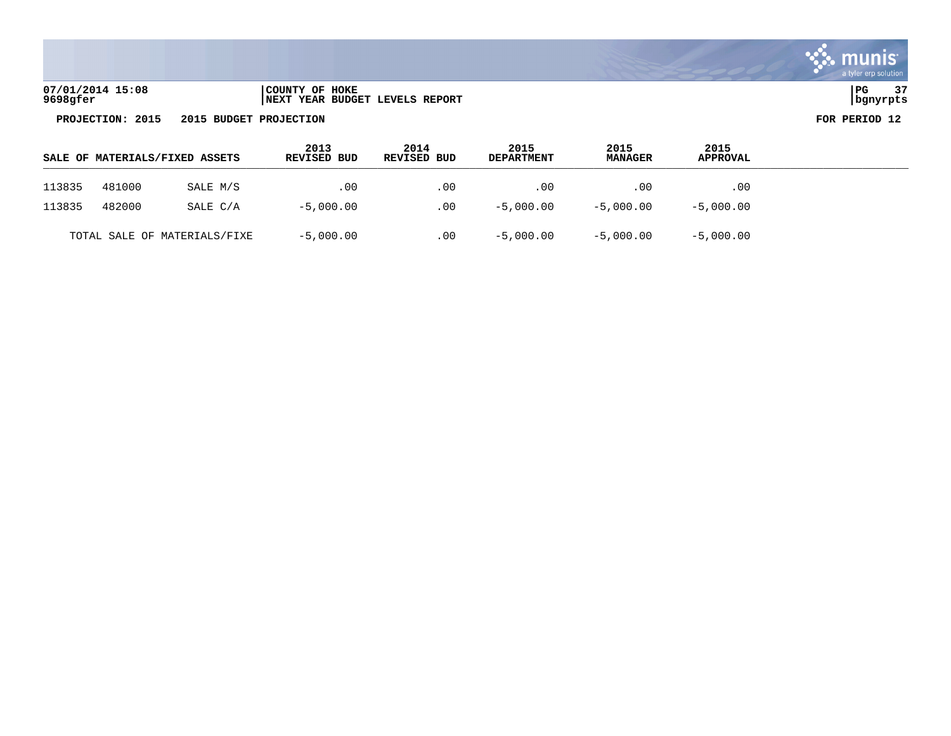

| 07/01/2014 15:08 | COUNTY OF HOKE                 | l PG     | 37 |
|------------------|--------------------------------|----------|----|
| 9698gfer         | NEXT YEAR BUDGET LEVELS REPORT | bgnyrpts |    |

| l PG     | 37 |  |
|----------|----|--|
|          |    |  |
| banvrpts |    |  |

|        |        | SALE OF MATERIALS/FIXED ASSETS | 2013<br>REVISED BUD | 2014<br>REVISED BUD | 2015<br><b>DEPARTMENT</b> | 2015<br><b>MANAGER</b> | 2015<br><b>APPROVAL</b> |  |
|--------|--------|--------------------------------|---------------------|---------------------|---------------------------|------------------------|-------------------------|--|
| 113835 | 481000 | SALE M/S                       | .00                 | .00                 | .00                       | .00                    | .00                     |  |
| 113835 | 482000 | SALE C/A                       | $-5,000.00$         | .00                 | $-5,000.00$               | $-5,000.00$            | $-5,000.00$             |  |
|        |        | TOTAL SALE OF MATERIALS/FIXE   | $-5$ , 000 $.00$    | .00                 | $-5,000.00$               | $-5,000.00$            | $-5,000.00$             |  |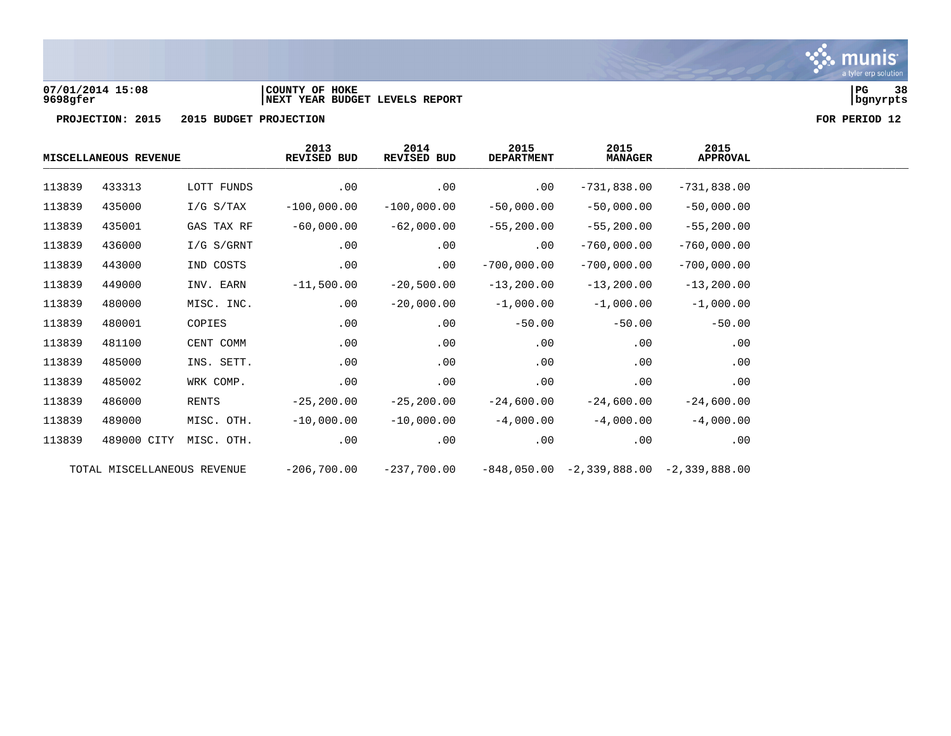

**07/01/2014 15:08 |COUNTY OF HOKE |PG 38 9698gfer |NEXT YEAR BUDGET LEVELS REPORT |bgnyrpts**

|        | MISCELLANEOUS REVENUE       |              | 2013<br>2015<br>2014<br>REVISED BUD<br><b>REVISED BUD</b><br><b>DEPARTMENT</b> | 2015<br><b>MANAGER</b> | 2015<br><b>APPROVAL</b> |                                           |               |
|--------|-----------------------------|--------------|--------------------------------------------------------------------------------|------------------------|-------------------------|-------------------------------------------|---------------|
| 113839 | 433313                      | LOTT FUNDS   | .00                                                                            | .00                    | .00                     | $-731,838.00$                             | $-731,838.00$ |
| 113839 | 435000                      | $I/G$ S/TAX  | $-100,000.00$                                                                  | $-100,000.00$          | $-50,000.00$            | $-50,000.00$                              | $-50,000.00$  |
| 113839 | 435001                      | GAS TAX RF   | $-60,000.00$                                                                   | $-62,000.00$           | $-55,200.00$            | $-55,200.00$                              | $-55, 200.00$ |
| 113839 | 436000                      | $I/G$ S/GRNT | .00                                                                            | .00                    | .00                     | $-760,000.00$                             | $-760,000.00$ |
| 113839 | 443000                      | IND COSTS    | .00                                                                            | .00                    | $-700,000.00$           | $-700,000.00$                             | $-700,000.00$ |
| 113839 | 449000                      | INV. EARN    | $-11,500.00$                                                                   | $-20,500.00$           | $-13,200.00$            | $-13, 200.00$                             | $-13, 200.00$ |
| 113839 | 480000                      | MISC. INC.   | .00                                                                            | $-20,000.00$           | $-1,000.00$             | $-1,000.00$                               | $-1,000.00$   |
| 113839 | 480001                      | COPIES       | .00                                                                            | .00                    | $-50.00$                | $-50.00$                                  | $-50.00$      |
| 113839 | 481100                      | CENT COMM    | .00                                                                            | .00                    | .00                     | .00                                       | .00           |
| 113839 | 485000                      | INS. SETT.   | .00                                                                            | .00                    | .00                     | .00                                       | .00           |
| 113839 | 485002                      | WRK COMP.    | .00                                                                            | .00                    | .00                     | .00                                       | .00           |
| 113839 | 486000                      | RENTS        | $-25, 200.00$                                                                  | $-25, 200.00$          | $-24,600.00$            | $-24,600.00$                              | $-24,600.00$  |
| 113839 | 489000                      | MISC. OTH.   | $-10,000.00$                                                                   | $-10,000.00$           | $-4,000.00$             | $-4,000.00$                               | $-4,000.00$   |
| 113839 | 489000 CITY                 | MISC. OTH.   | .00                                                                            | .00                    | .00                     | .00                                       | .00           |
|        | TOTAL MISCELLANEOUS REVENUE |              | $-206,700.00$                                                                  | $-237,700.00$          |                         | $-848,050.00 -2,339,888.00 -2,339,888.00$ |               |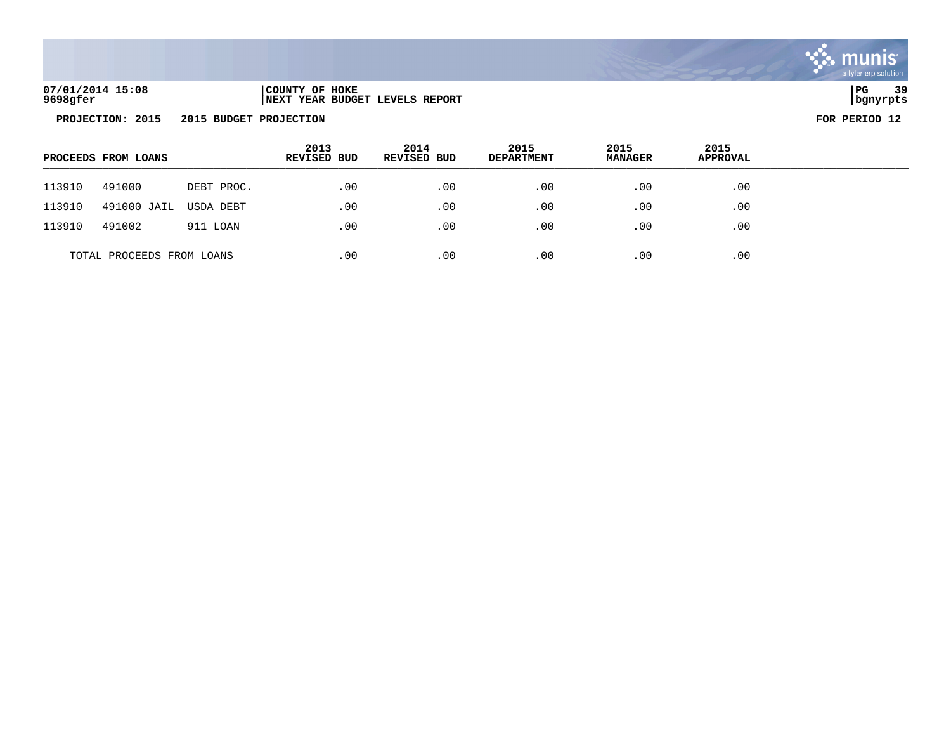

**07/01/2014 15:08 |COUNTY OF HOKE |PG 39 9698gfer |NEXT YEAR BUDGET LEVELS REPORT |bgnyrpts**

|        | PROCEEDS FROM LOANS       |            | 2013<br>REVISED BUD | 2014<br><b>REVISED BUD</b> | 2015<br><b>DEPARTMENT</b> | 2015<br><b>MANAGER</b> | 2015<br><b>APPROVAL</b> |  |
|--------|---------------------------|------------|---------------------|----------------------------|---------------------------|------------------------|-------------------------|--|
| 113910 | 491000                    | DEBT PROC. | .00                 | .00                        | .00                       | .00                    | .00                     |  |
| 113910 | 491000 JAIL               | USDA DEBT  | .00                 | $.00 \,$                   | .00                       | .00                    | .00                     |  |
| 113910 | 491002                    | 911 LOAN   | .00                 | .00                        | .00                       | .00                    | .00                     |  |
|        | TOTAL PROCEEDS FROM LOANS |            | .00                 | .00                        | .00                       | .00                    | .00                     |  |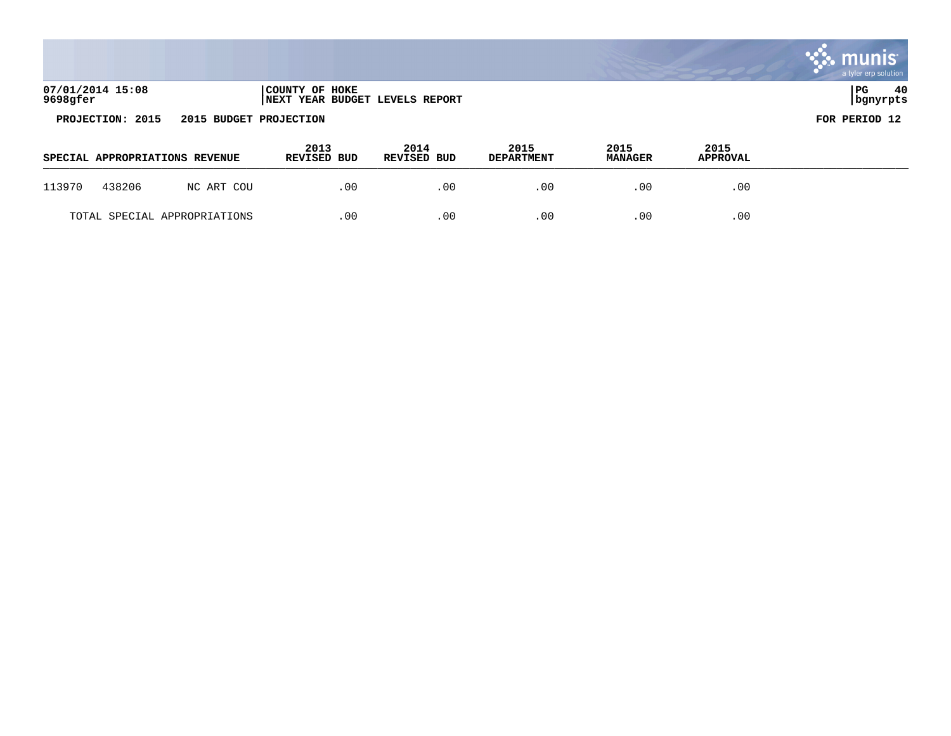|                              |                                                  | munis<br>a tyler erp solution |
|------------------------------|--------------------------------------------------|-------------------------------|
| 07/01/2014 15:08<br>9698gfer | COUNTY OF HOKE<br>NEXT YEAR BUDGET LEVELS REPORT | 40<br>  PG<br>  bgnyrpts      |
| PROJECTION: 2015             | 2015 BUDGET PROJECTION                           | FOR PERIOD 12                 |

and the control of the control of the control of the control of the control of the control of the control of th

|        | SPECIAL APPROPRIATIONS REVENUE |            | 2013<br><b>REVISED BUD</b> | 2014<br>REVISED BUD | 2015<br><b>DEPARTMENT</b> | 2015<br><b>MANAGER</b> | 2015<br><b>APPROVAL</b> |  |
|--------|--------------------------------|------------|----------------------------|---------------------|---------------------------|------------------------|-------------------------|--|
| 113970 | 438206                         | NC ART COU | .00                        | .00                 | .00                       | .00                    | .00                     |  |
|        | TOTAL SPECIAL APPROPRIATIONS   |            | .00                        | .00                 | .00                       | .00                    | .00                     |  |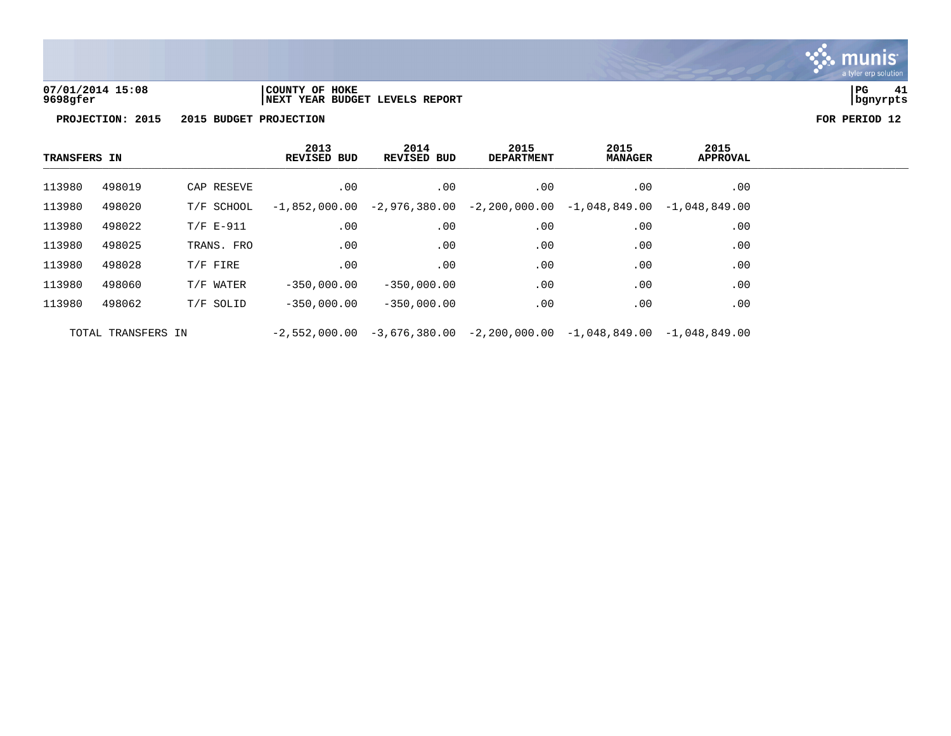

**07/01/2014 15:08 |COUNTY OF HOKE |PG 41 9698gfer |NEXT YEAR BUDGET LEVELS REPORT |bgnyrpts**

| <b>TRANSFERS IN</b> |                    |             | 2013<br>REVISED BUD | 2014<br><b>REVISED BUD</b>                                                      | 2015<br><b>DEPARTMENT</b> | 2015<br><b>MANAGER</b> | 2015<br><b>APPROVAL</b> |  |
|---------------------|--------------------|-------------|---------------------|---------------------------------------------------------------------------------|---------------------------|------------------------|-------------------------|--|
| 113980              | 498019             | CAP RESEVE  | $.00 \,$            | $.00 \,$                                                                        | $.00 \,$                  | $.00 \,$               | $.00 \,$                |  |
| 113980              | 498020             | T/F SCHOOL  |                     | $-1,852,000.00$ $-2,976,380.00$ $-2,200,000.00$ $-1,048,849.00$ $-1,048,849.00$ |                           |                        |                         |  |
| 113980              | 498022             | $T/F E-911$ | .00                 | .00                                                                             | $.00 \,$                  | .00                    | $.00 \ \rm$             |  |
| 113980              | 498025             | TRANS. FRO  | .00                 | .00                                                                             | .00                       | .00                    | $.00 \,$                |  |
| 113980              | 498028             | $T/F$ FIRE  | .00                 | .00                                                                             | .00                       | .00                    | .00                     |  |
| 113980              | 498060             | T/F WATER   | $-350.000.00$       | $-350,000.00$                                                                   | .00                       | .00                    | .00                     |  |
| 113980              | 498062             | T/F SOLID   | $-350.000.00$       | $-350,000,00$                                                                   | .00                       | .00                    | $.00 \ \rm$             |  |
|                     | TOTAL TRANSFERS IN |             |                     | $-2,552,000.00$ $-3,676,380.00$ $-2,200,000.00$ $-1,048,849.00$ $-1,048,849.00$ |                           |                        |                         |  |